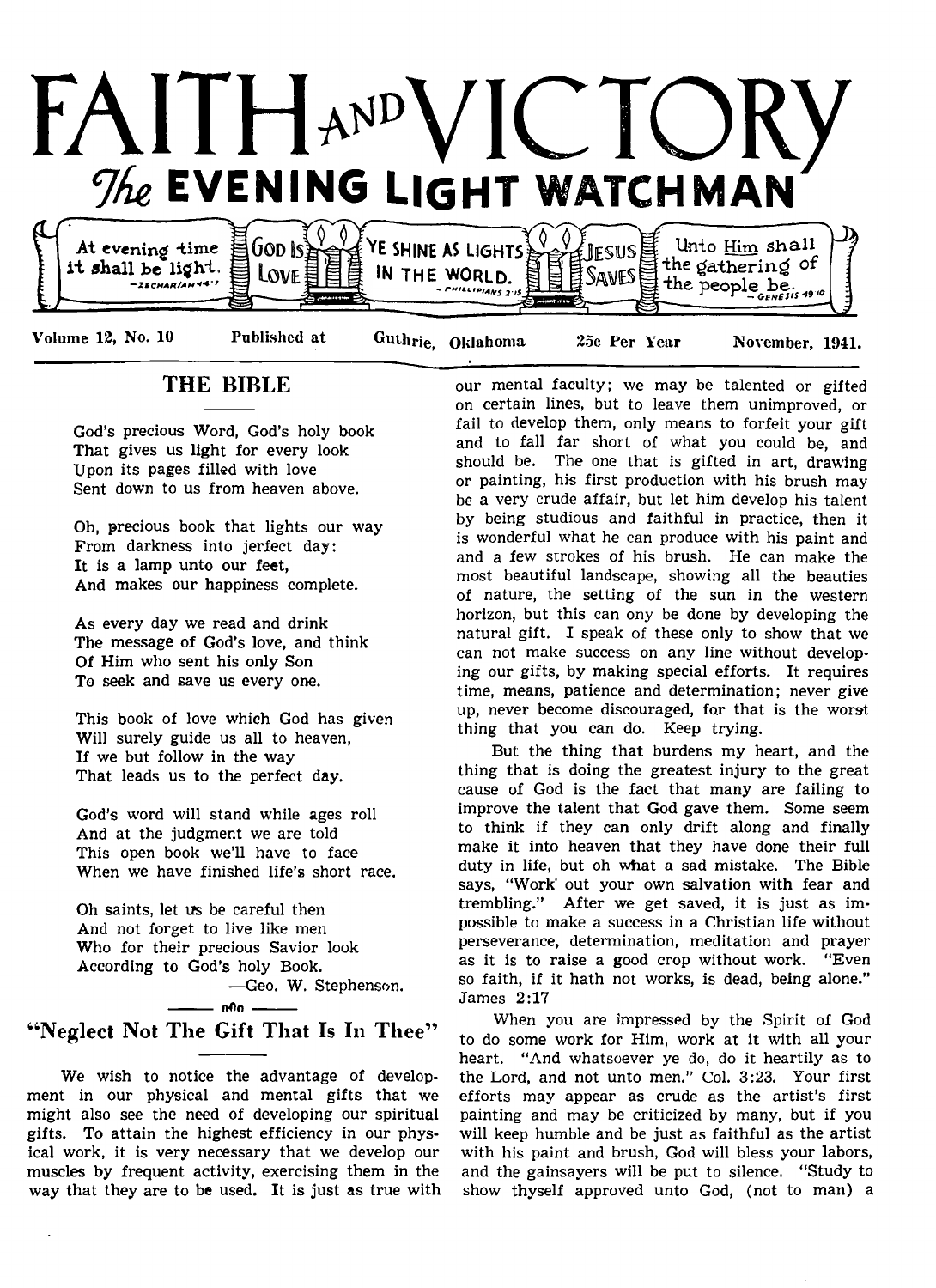

## THE BIBLE

God's precious Word, God's holy book That gives us light for every look Upon its pages filled with love Sent down to us from heaven above.

Oh, precious book that lights our way From darkness into jerfect day: It is a lamp unto our feet, And makes our happiness complete.

As every day we read and drink The message of God's love, and think Of Him who sent his only Son To seek and save us every one.

This book of love which God has given Will surely guide us all to heaven, If we but follow in the way That leads us to the perfect day.

God's word will stand while ages roll And at the judgment we are told This open book we'll have to face When we have finished life's short race.

Oh saints, let us be careful then And not forget to live like men Who for their precious Savior look According to God's holy Book.

—Geo. W. Stephenson.

## - nOo -"Neglect Not The Gift That Is In Thee"

We wish to notice the advantage of development in our physical and mental gifts that we might also see the need of developing our spiritual gifts. To attain the highest efficiency in our physical work, it is very necessary that we develop our muscles by frequent activity, exercising them in the way that they are to be used. It is just as true with

our mental faculty; we may be talented or gifted on certain lines, but to leave them unimproved, or fail to develop them, only means to forfeit your gift and to fall far short of what you could be, and should be. The one that is gifted in art, drawing or painting, his first production with his brush may be a very crude affair, but let him develop his talent by being studious and faithful in practice, then it is wonderful what he can produce with his paint and and a few strokes of his brush. He can make the most beautiful landscape, showing all the beauties of nature, the setting of the sun in the western horizon, but this can ony be done by developing the natural gift. I speak of these only to show that we can not make success on any line without developing our gifts, by making special efforts. It requires time, means, patience and determination; never give up, never become discouraged, for that is the worst thing that you can do. Keep trying.

But the thing that burdens my heart, and the thing that is doing the greatest injury to the great cause of God is the fact that many are failing to improve the talent that God gave them. Some seem to think if they can only drift along and finally make it into heaven that they have done their full duty in life, but oh what a sad mistake. The Bible says, "Work' out your own salvation with fear and trembling." After we get saved, it is just as impossible to make a success in a Christian life without perseverance, determination, meditation and prayer as it is to raise a good crop without work. "Even so faith, if it hath not works, is dead, being alone." James 2:17

When you are impressed by the Spirit of God to do some work for Him, work at it with all your heart. "And whatsoever ye do, do it heartily as to the Lord, and not unto men." Col. 3:23. Your first efforts may appear as crude as the artist's first painting and may be criticized by many, but if you will keep humble and be just as faithful as the artist with his paint and brush, God will bless your labors, and the gainsayers will be put to silence. "Study to show thyself approved unto God, (not to man) a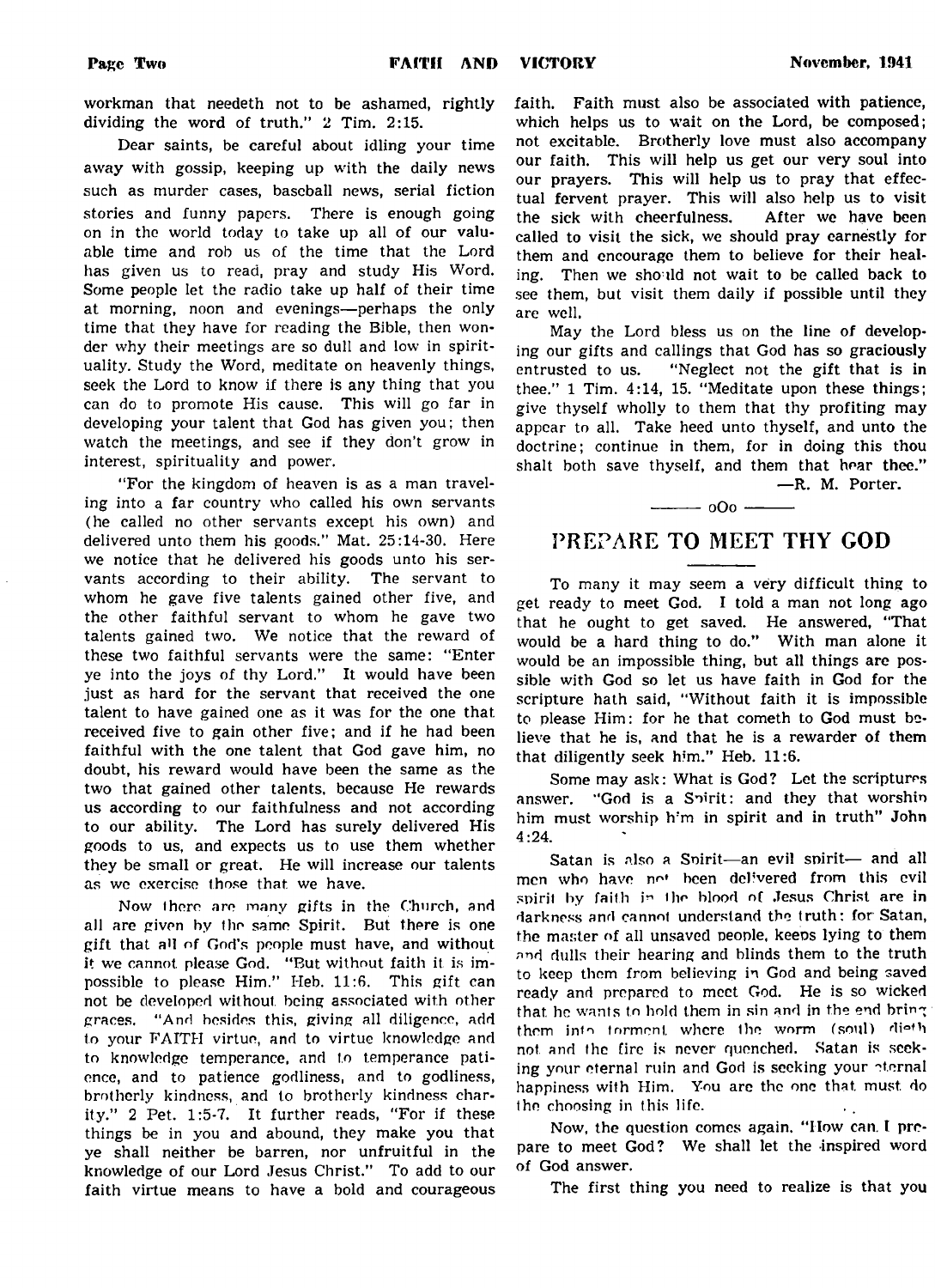workman that needeth not to be ashamed, rightly dividing the word of truth." 2 Tim. 2:15.

Dear saints, be careful about idling your time away with gossip, keeping up with the daily news such as murder cases, baseball news, serial fiction stories and funny papers. There is enough going on in the world today to take up ail of our valuable time and rob us of the time that the Lord has given us to read, pray and study His Word. Some people let the radio take up half of their time at morning, noon and evenings— perhaps the only time that they have for reading the Bible, then wonder why their meetings are so dull and low in spirituality. Study the Word, meditate on heavenly things, seek the Lord to know if there is any thing that you can do to promote His cause. This will go far in developing your talent that God has given you; then watch the meetings, and see if they don't grow in interest, spirituality and power.

"For the kingdom of heaven is as a man traveling into a far country who called his own servants (he called no other servants except his own) and delivered unto them his goods." Mat. 25:14-30. Here we notice that he delivered his goods unto his servants according to their ability. The servant to whom he gave five talents gained other five, and the other faithful servant to whom he gave two talents gained two. We notice that the reward of these two faithful servants were the same: "Enter ye into the joys of thy Lord." It would have been just as hard for the servant that received the one talent to have gained one as it was for the one that received five to gain other five; and if he had been faithful with the one talent that God gave him, no doubt, his reward would have been the same as the two that gained other talents, because He rewards us according to our faithfulness and not according to our ability. The Lord has surely delivered His goods to us, and expects us to use them whether they be small or great. He will increase our talents as we exercise those that we have.

Now there are many gifts in the Church, and all are given by the same Spirit. But there is one gift that all of God's people must have, and without it we cannot, please God. "But without faith it is impossible to please Him." Heb.  $11:6$ . This gift can not be developed without, being associated with other graces. " And besides this, giving all diligence, add to your FAITH virtue, and to virtue knowledge and to knowledge temperance, and to temperance patience, and to patience godliness, and to godliness, brotherly kindness, and to brotherly kindness charity." 2 Pet. 1:5-7. It further reads, "For if these things be in you and abound, they make you that ye shall neither be barren, nor unfruitful in the knowledge of our Lord Jesus Christ." To add to our faith virtue means to have a bold and courageous

faith. Faith must also be associated with patience, which helps us to wait on the Lord, be composed; not excitable. Brotherly love must also accompany our faith. This will help us get our very soul into our prayers. This will help us to pray that effectual fervent prayer. This will also help us to visit the sick with cheerfulness. After we have been called to visit the sick, we should pray earnestly for them and encourage them to believe for their healing. Then we should not wait to be called back to see them, but visit them daily if possible until they are well.

May the Lord bless us on the line of developing our gifts and callings that God has so graciously entrusted to us. "Neglect not the gift that is in thee." 1 Tim. 4:14, 15. "Meditate upon these things; give thyself wholly to them that thy profiting may appear to all. Take heed unto thyself, and unto the doctrine; continue in them, for in doing this thou shalt both save thyself, and them that hear thee."

## PREPARE TO MEET THY COD

 $-$  000  $-$ 

To many it may seem a very difficult thing to get ready to meet God. I told a man not long ago that he ought to get saved. He answered, "That would be a hard thing to do." With man alone it would be an impossible thing, but all things are possible with God so let us have faith in God for the scripture hath said, "Without faith it is impossible to please Him: for he that cometh to God must believe that he is, and that he is a rewarder of them that diligently seek him." Heb. 11:6.

Some may ask: What is God? Let the scriptures answer. "God is a Soirit: and they that worship him must worship h'm in spirit and in truth" John 4:24.

Satan is also a Spirit-an evil spirit- and all men who have not been delivered from this evil spirit by faith in the blood of Jesus Christ are in darkness and cannot understand the truth: for Satan, the master of all unsaved people, keeps lying to them and dulls their hearing and blinds them to the truth to keep them from believing in God and being saved ready and prepared to meet God. He is so wicked that he wants to hold them in sin and in the end bring them into torment where the worm (soul) dieth not and the fire is never quenched. Satan is seeking your eternal ruin and God is seeking your eternal happiness with Him. You are the one that must do the choosing in this life.

Now, the question comes again, " How can. t prepare to meet God? We shall let the inspired word of God answer.

The first thing you need to realize is that you

— R. M. Porter.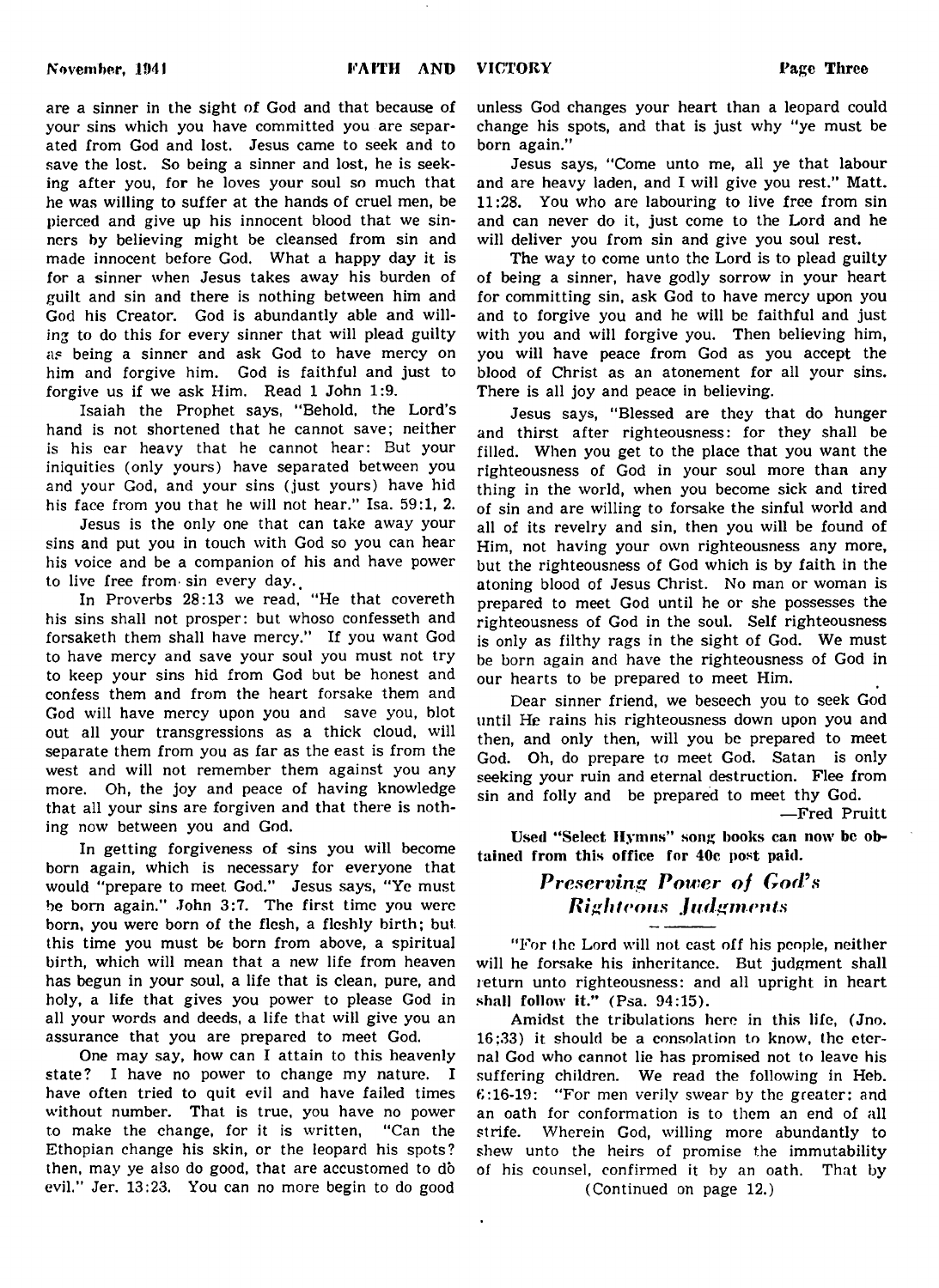**November, 1941 FAITH AND** 

**VICTORY Page Three**

are a sinner in the sight of God and that because of your sins which you have committed you are separated from God and lost. Jesus came to seek and to save the lost. So being a sinner and lost, he is seeking after you, for he loves your soul so much that he was willing to suffer at the hands of cruel men, be pierced and give up his innocent blood that we sinners by believing might be cleansed from sin and made innocent before God. What a happy day it is for a sinner when Jesus takes away his burden of guilt and sin and there is nothing between him and God his Creator. God is abundantly able and willing to do this for every sinner that will plead guilty as being a sinner and ask God to have mercy on him and forgive him. God is faithful and just to forgive us if we ask Him. Read 1 John 1:9.

Isaiah the Prophet says, " Behold, the Lord's hand is not shortened that he cannot save; neither is his ear heavy that he cannot hear: But your iniquities (only yours) have separated between you and your God, and your sins (just yours) have hid his face from you that he will not hear." Isa. 59:1, 2.

Jesus is the only one that can take away your sins and put you in touch with God so you can hear his voice and be a companion of his and have power to live free from  $sin$  every day.

In Proverbs 28:13 we read, "He that covereth his sins shall not prosper: but whoso confesseth and forsaketh them shall have mercy." If you want God to have mercy and save your soul you must not try to keep your sins hid from God but be honest and confess them and from the heart forsake them and God will have mercy upon you and save you, blot out all your transgressions as a thick cloud, will separate them from you as far as the east is from the west and will not remember them against you any more. Oh, the joy and peace of having knowledge that all your sins are forgiven and that there is nothing now between you and God.

In getting forgiveness of sins you will become born again, which is necessary for everyone that would "prepare to meet God." Jesus says, "Ye must be bom again." John 3:7. The first time you were born, you were born of the flesh, a fleshly birth; but this time you must be born from above, a spiritual birth, which will mean that a new life from heaven has begun in your soul, a life that is clean, pure, and holy, a life that gives you power to please God in all your words and deeds, a life that will give you an assurance that you are prepared to meet God.

One may say, how can I attain to this heavenly state? I have no power to change my nature. I have often tried to quit evil and have failed times without number. That is true, you have no power to make the change, for it is written, "Can the Ethopian change his skin, or the leopard his spots? then, may ye also do good, that are accustomed to do evil." Jer. 13:23. You can no more begin to do good

unless God changes your heart than a leopard could change his spots, and that is just why "ye must be born again."

Jesus says, "Come unto me, all ye that labour and are heavy laden, and I will give you rest." Matt. 11:28. You who are labouring to live free from sin and can never do it, just come to the Lord and he will deliver you from sin and give you soul rest.

The way to come unto the Lord is to plead guilty of being a sinner, have godly sorrow in your heart for committing sin, ask God to have mercy upon you and to forgive you and he will be faithful and just with you and will forgive you. Then believing him, you will have peace from God as you accept the blood of Christ as an atonement for all your sins. There is all joy and peace in believing.

Jesus says, "Blessed are they that do hunger and thirst after righteousness: for they shall be filled. When you get to the place that you want the righteousness of God in your soul more than any thing in the world, when you become sick and tired of sin and are willing to forsake the sinful world and all of its revelry and sin, then you will be found of Him, not having your own righteousness any more, but the righteousness of God which is by faith in the atoning blood of Jesus Christ. No man or woman is prepared to meet God until he or she possesses the righteousness of God in the soul. Self righteousness is only as filthy rags in the sight of God. We must be born again and have the righteousness of God in our hearts to be prepared to meet Him.

Dear sinner friend, we beseech you to seek God until He rains his righteousness down upon you and then, and only then, will you be prepared to meet God. Oh, do prepare to meet God. Satan is only seeking your ruin and eternal destruction. Flee from sin and folly and be prepared to meet thy God.

— Fred Pruitt

Used " Select Hymns" song books can now be obtained from this office for 40c post paid.

## **Preserving Power of God's** *f\igh teous J u fig men ts*

"For the Lord will not cast off his people, neither will he forsake his inheritance. But judgment shall return unto righteousness: and all upright in heart shall follow it." (Psa. 94:15).

Amidst the tribulations here in this life, (Jno. 16;33) it should be a consolation to know, the eternal God who cannot lie has promised not to leave his suffering children. We read the following in Heb. 6:16-19: "For men verily swear by the greater: and an oath for conformation is to them an end of all strife. Wherein God, willing more abundantly to shew unto the heirs of promise the immutability of his counsel, confirmed it by an oath. That by

(Continued on page 12.)

 $\ddot{\phantom{a}}$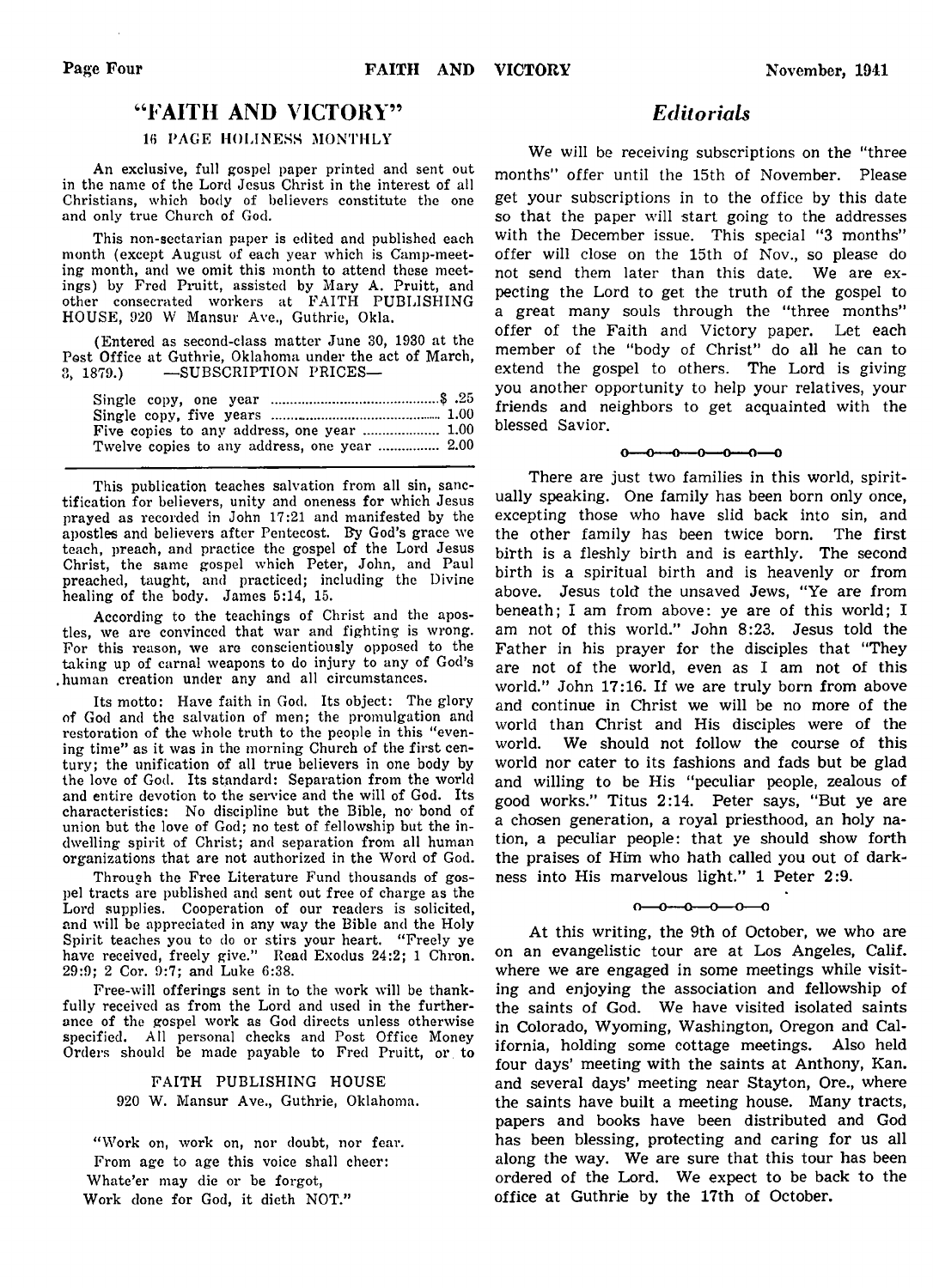## "FAITH AND VICTORY"

### 16 PAGE HOLINESS MONTHLY

An exclusive, full gospel paper printed and sent out in the name of the Lord Jesus Christ in the interest of all Christians, which body of believers constitute the one and only true Church of God.

This non-sectarian paper is edited and published each month (except August of each year which is Camp-meeting month, and we omit this month to attend these meetings) by Fred Pruitt, assisted by Mary A. Pruitt, and other consecrated workers at FAITH PUBLISHING HOUSE, 920 W Mansur Ave., Guthrie, Okla.

(Entered as second-class matter June 30, 1930 at the Post Office at Guthrie, Oklahoma under the act of March, 3, 1879.) — SUBSCRIPTION PRICES—

| Twelve copies to any address, one year  2.00 |  |
|----------------------------------------------|--|

This publication teaches salvation from all sin, sanctification for believers, unity and oneness for which Jesus prayed as recorded in John 17:21 and manifested by the apostles and believers after Pentecost. By God's grace we teach, preach, and practice the gospel of the Lord Jesus Christ, the same gospel which Peter, John, and Paul preached, taught, and practiced; including the Divine healing of the body. James 5:14, 15.

According to the teachings of Christ and the apostles, we are convinced that war and fighting is wrong. For this reason, we are conscientiously opposed to the taking up of carnal weapons to do injury to any of God's .human creation under any and all circumstances.

Its motto: Have faith in God. Its object: The glory of God and the salvation of men; the promulgation and restoration of the whole truth to the people in this "evening time" as it was in the morning Church of the first century; the unification of all true believers in one body by the love of God. Its standard: Separation from the world and entire devotion to the service and the will of God. Its characteristics: No discipline but the Bible, no' bond of union but the love of God; no test of fellowship but the indwelling spirit of Christ; and separation from all human organizations that are not authorized in the Word of God.

Through the Free Literature Fund thousands of gospel tracts are published and sent out free of charge as the Lord supplies. Cooperation of our readers is solicited, and will be appreciated in any way the Bible and the Holy Spirit teaches you to do or stirs your heart. "Freely ye have received, freely give." Read Exodus 24:2; 1 Chron. 29:9; 2 Cor. 9:7; and Luke 6:38.

Free-will offerings sent in to the work will be thankfully received as from the Lord and used in the furtherance of the gospel work as God directs unless otherwise specified. All personal checks and Post Office Money Orders should be made payable to Fred Pruitt, or to

### FAITH PUBLISHING HOUSE 920 W. Mansur Ave., Guthrie, Oklahoma.

" Work on, work on, nor doubt, nor fear. From age to age this voice shall cheer: Whate'er may die or be forgot, Work done for God, it dieth NOT."

## *Editorials*

We will be receiving subscriptions on the "three months" offer until the 15th of November. Please get your subscriptions in to the office by this date so that the paper will start going to the addresses with the December issue. This special "3 months" offer will close on the 15th of Nov., so please do not send them later than this date. We are expecting the Lord to get the truth of the gospel to a great many souls through the "three months" offer of the Faith and Victory paper. Let each member of the "body of Christ" do all he can to extend the gospel to others. The Lord is giving you another opportunity to help your relatives, your friends and neighbors to get acquainted with the blessed Savior.

#### $0 \rightarrow 0 \rightarrow 0 \rightarrow 0 \rightarrow 0 \rightarrow 0$

There are just two families in this world, spiritually speaking. One family has been born only once, excepting those who have slid back into sin, and the other family has been twice born. The first birth is a fleshly birth and is earthly. The second birth is a spiritual birth and is heavenly or from above. Jesus told the unsaved Jews, "Ye are from beneath; I am from above: ye are of this world; I am not of this world." John 8:23. Jesus told the Father in his prayer for the disciples that "They are not of the world, even as I am not of this world." John 17:16. If we are truly born from above and continue in Christ we will be no more of the world than Christ and His disciples were of the world. We should not follow the course of this world nor cater to its fashions and fads but be glad and willing to be His "peculiar people, zealous of good works." Titus 2:14. Peter says, "But ye are a chosen generation, a royal priesthood, an holy nation, a peculiar people: that ye should show forth the praises of Him who hath called you out of darkness into His marvelous light." 1 Peter 2:9.

### $0 - 0 - 0 - 0 - 0$

At this writing, the 9th of October, we who are on an evangelistic tour are at Los Angeles, Calif, where we are engaged in some meetings while visiting and enjoying the association and fellowship of the saints of God. We have visited isolated saints in Colorado, Wyoming, Washington, Oregon and California, holding some cottage meetings. Also held four days' meeting with the saints at Anthony, Kan. and several days' meeting near Stayton, Ore., where the saints have built a meeting house. Many tracts, papers and books have been distributed and God has been blessing, protecting and caring for us all along the way. We are sure that this tour has been ordered of the Lord. We expect to be back to the office at Guthrie by the 17th of October.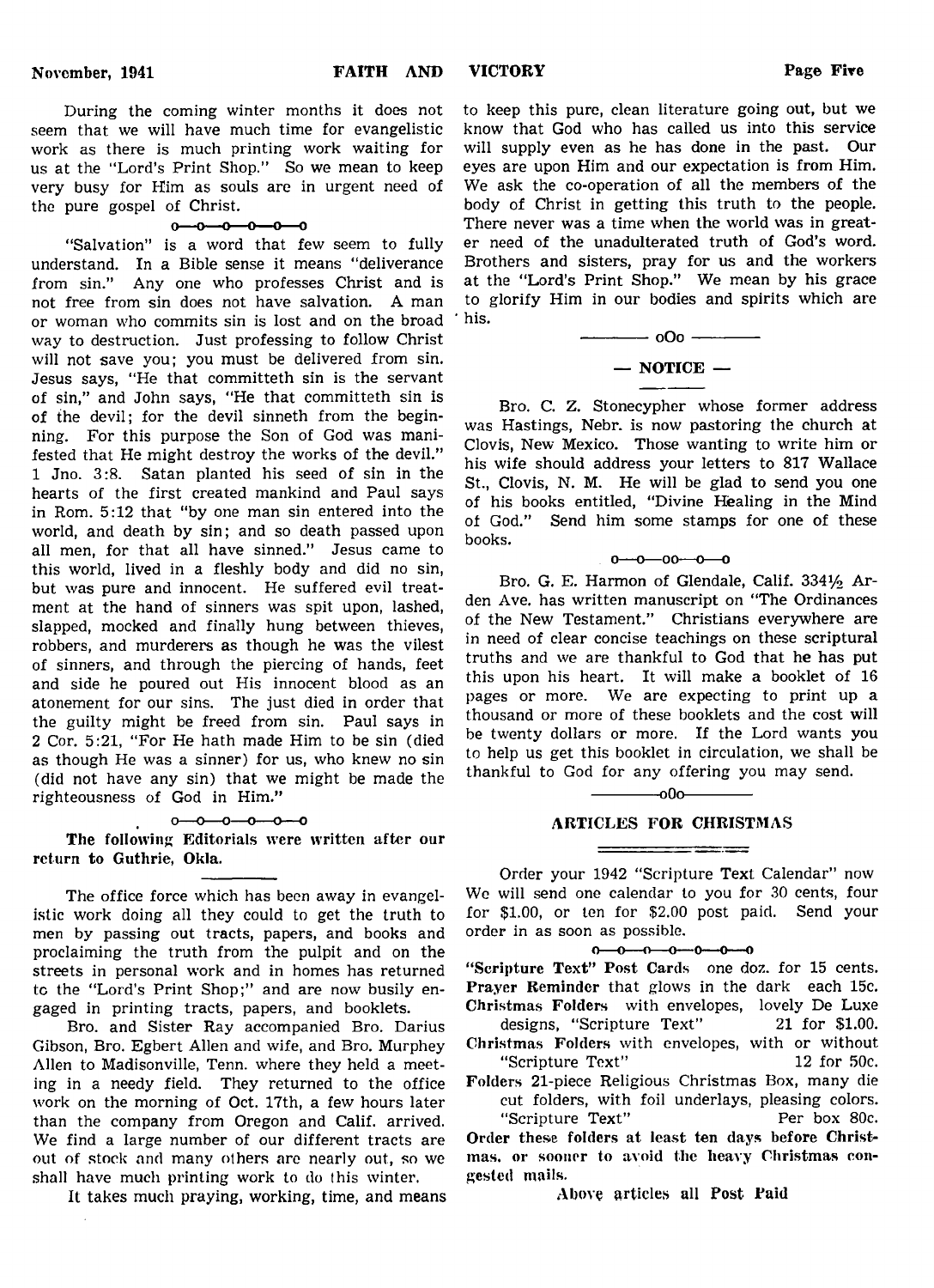During the coming winter months it does not seem that we will have much time for evangelistic work as there is much printing work waiting for us at the "Lord's Print Shop." So we mean to keep very busy for Him as souls are in urgent need of the pure gospel of Christ.

#### $0 - 0 - 0 - 0 - 0$

"Salvation" is a word that few seem to fully understand. In a Bible sense it means "deliverance from sin." Any one who professes Christ and is not free from sin does not have salvation. A man or woman who commits sin is lost and on the broad way to destruction. Just professing to follow Christ will not save you; you must be delivered from sin. Jesus says, "He that committeth sin is the servant of sin," and John says, "He that committeth sin is of the devil; for the devil sinneth from the beginning. For this purpose the Son of God was manifested that He might destroy the works of the devil." 1 Jno. 3:8. Satan planted his seed of sin in the hearts of the first created mankind and Paul says in Rom. 5:12 that "by one man sin entered into the world, and death by sin; and so death passed upon all men, for that all have sinned." Jesus came to this world, lived in a fleshly body and did no sin, but was pure and innocent. He suffered evil treatment at the hand of sinners was spit upon, lashed, slapped, mocked and finally hung between thieves, robbers, and murderers as though he was the vilest of sinners, and through the piercing of hands, feet and side he poured out His innocent blood as an atonement for our sins. The just died in order that the guilty might be freed from sin. Paul says in 2 Cor. 5:21, "For He hath made Him to be sin (died as though He was a sinner) for us, who knew no sin (did not have any sin) that we might be made the righteousness of God in Him."

#### $0 - 0 - 0 - 0 - 0 - 0$

The following Editorials were written after our return to Guthrie, Okla.

The office force which has been away in evangelistic work doing all they could to get the truth to men by passing out tracts, papers, and books and proclaiming the truth from the pulpit and on the streets in personal work and in homes has returned to the "Lord's Print Shop;" and are now busily engaged in printing tracts, papers, and booklets.

Bro. and Sister Ray accompanied Bro. Darius Gibson, Bro. Egbert Allen and wife, and Bro. Murphey Allen to Madisonville, Tenn. where they held a meeting in a needy field. They returned to the office work on the morning of Oct. 17th, a few hours later than the company from Oregon and Calif, arrived. We find a large number of our different tracts are out of stock and many others are nearly out, so we shall have much printing work to do this winter.

It takes much praying, working, time, and means

to keep this pure, clean literature going out, but we know that God who has called us into this service will supply even as he has done in the past. Our eyes are upon Him and our expectation is from Him. We ask the co-operation of all the members of the body of Christ in getting this truth to the people. There never was a time when the world was in greater need of the unadulterated truth of God's word. Brothers and sisters, pray for us and the workers at the "Lord's Print Shop." We mean by his grace to glorify Him in our bodies and spirits which are his.

$$
- 000
$$
  
- NOTICE -

Bro. C. Z. Stonecypher whose former address was Hastings, Nebr. is now pastoring the church at Clovis, New Mexico. Those wanting to write him or his wife should address your letters to 817 Wallace St., Clovis, N. M. He will be glad to send you one of his books entitled, "Divine Healing in the Mind of God." Send him some stamps for one of these books.

#### $0 - 0 - 00 - 0 - 0$

Bro. G. E. Harmon of Glendale, Calif. 3341/2 Arden Ave. has written manuscript on "The Ordinances of the New Testament." Christians everywhere are in need of clear concise teachings on these scriptural truths and we are thankful to God that he has put this upon his heart. It will make a booklet of 16 pages or more. We are expecting to print up a thousand or more of these booklets and the cost will be twenty dollars or more. If the Lord wants you to help us get this booklet in circulation, we shall be thankful to God for any offering you may send.

## $-000$

### ARTICLES FOR CHRISTMAS

Order your 1942 "Scripture Text Calendar" now We will send one calendar to you for 30 cents, four for \$1.00, or ten for \$2.00 post paid. Send your order in as soon as possible.

#### $0 - 0 - 0 - 0 - 0 - 0 - 0$

" Scripture Text" Post Cards one doz. for 15 cents. Prayer Reminder that glows in the dark each 15c. Christmas Folders with envelopes, lovely De Luxe

designs, "Scripture Text" 21 for \$1.00. Christmas Folders with envelopes, with or without

"Scripture Text" 12 for 50c. Folders 21-piece Religious Christmas Box, many die cut folders, with foil underlays, pleasing colors. "Scripture Text" Per box 80c.

Order these folders at least ten days before Christmas. or sooner to avoid the heavy Christmas congested mails.

Above articles all Post Paid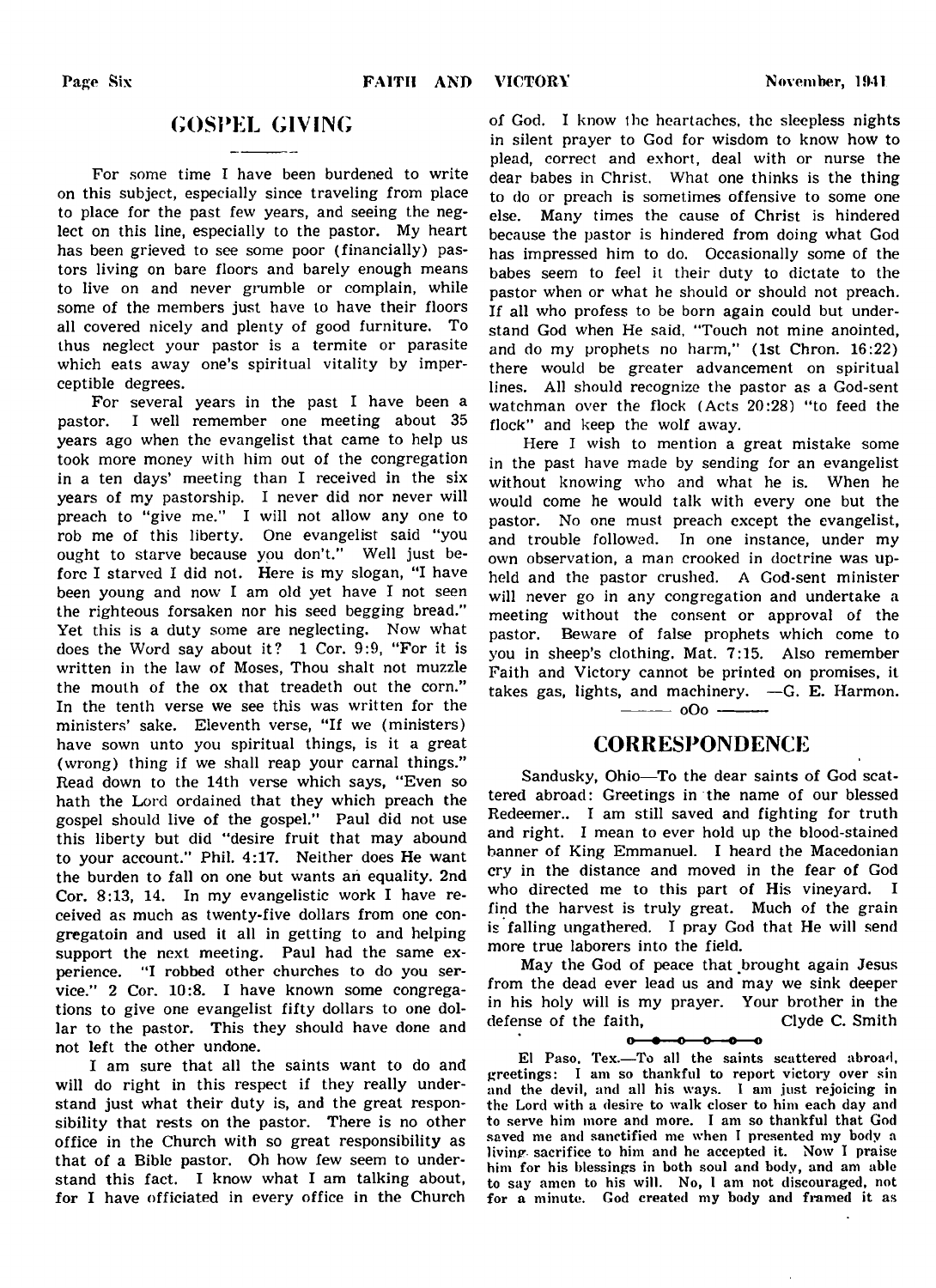## GOSPEL GIVING

For some time I have been burdened to write on this subject, especially since traveling from place to place for the past few years, and seeing the neglect on this line, especially to the pastor. My heart has been grieved to see some poor (financially) pastors living on bare floors and barely enough means to live on and never grumble or complain, while some of the members just have to have their floors all covered nicely and plenty of good furniture. To thus neglect your pastor is a termite or parasite which eats away one's spiritual vitality by imperceptible degrees.

For several years in the past I have been a pastor. I well remember one meeting about 35 years ago when the evangelist that came to help us took more money with him out of the congregation in a ten days' meeting than I received in the six years of my pastorship. I never did nor never will preach to "give me." I will not allow any one to rob me of this liberty. One evangelist said "you ought to starve because you don't." Well just before I starved I did not. Here is my slogan, "I have been young and now I am old yet have I not seen the righteous forsaken nor his seed begging bread." Yet this is a duty some are neglecting. Now what does the Word say about it? 1 Cor. 9:9, "For it is written in the law of Moses, Thou shalt not muzzle the mouth of the ox that treadeth out the corn." In the tenth verse we see this was written for the ministers' sake. Eleventh verse, "If we (ministers) have sown unto you spiritual things, is it a great (wrong) thing if we shall reap your carnal things." Read down to the 14th verse which says, "Even so hath the Lord ordained that they which preach the gospel should live of the gospel." Paul did not use this liberty but did "desire fruit that may abound to your account." Phil. 4:17. Neither does He want the burden to fall on one but wants an equality. 2nd Cor. 8:13, 14. In my evangelistic work I have received as much as twenty-five dollars from one congregatoin and used it all in getting to and helping support the next meeting. Paul had the same experience. "I robbed other churches to do you service." 2 Cor. 10:8. I have known some congregations to give one evangelist fifty dollars to one dollar to the pastor. This they should have done and not left the other undone.

I am sure that all the saints want to do and will do right in this respect if they really understand just what their duty is, and the great responsibility that rests on the pastor. There is no other office in the Church with so great responsibility as that of a Bible pastor. Oh how few seem to understand this fact. I know what I am talking about, for I have officiated in every office in the Church

of God. I know the heartaches, the sleepless nights in silent prayer to God for wisdom to know how to plead, correct and exhort, deal with or nurse the dear babes in Christ. What one thinks is the thing to do or preach is sometimes offensive to some one else. Many times the cause of Christ is hindered because the pastor is hindered from doing what God has impressed him to do. Occasionally some of the babes seem to feel it their duty to dictate to the pastor when or what he should or should not preach. If all who profess to be born again could but understand God when He said, "Touch not mine anointed, and do my prophets no harm," (1st Chron. 16:22) there would be greater advancement on spiritual lines. All should recognize the pastor as a God-sent watchman over the flock (Acts 20:28) "to feed the flock" and keep the wolf away.

Here I wish to mention a great mistake some in the past have made by sending for an evangelist without knowing who and what he is. When he would come he would talk with every one but the pastor. No one must preach except the evangelist, and trouble followed. In one instance, under my own observation, a man crooked in doctrine was upheld and the pastor crushed. A God-sent minister will never go in any congregation and undertake a meeting without the consent or approval of the pastor. Beware of false prophets which come to you in sheep's clothing. Mat. 7:15. Also remember Faith and Victory cannot be printed on promises, it takes gas, lights, and machinery. —G. E. Harmon.

 $-$  oOo -

## CORRESPONDENCE

Sandusky, Ohio—To the dear saints of God scattered abroad: Greetings in the name of our blessed Redeemer.. I am still saved and fighting for truth and right. I mean to ever hold up the blood-stained banner of King Emmanuel. I heard the Macedonian cry in the distance and moved in the fear of God who directed me to this part of His vineyard. I find the harvest is truly great. Much of the grain is falling ungathered. I pray God that He will send more true laborers into the field.

May the God of peace that brought again Jesus from the dead ever lead us and may we sink deeper in his holy will is my prayer. Your brother in the defense of the faith, Clyde C. Smith

 $-0 \longrightarrow 0 \longrightarrow 0$  $\overline{\mathbf{a}}$ 0

El Paso. Tex.—To all the saints scattered abroad, greetings: I am so thankful to report victory over sin and the devil, and all his ways. I am just rejoicing in the Lord with a desire to walk closer to him each day and to serve him more and more. I am so thankful that God saved me and sanctified me when I presented my body a living sacrifice to him and he accepted it. Now I praise him for his blessings in both soul and body, and am able to say amen to his will. No, I am not discouraged, not for a minute. God created my body and framed it as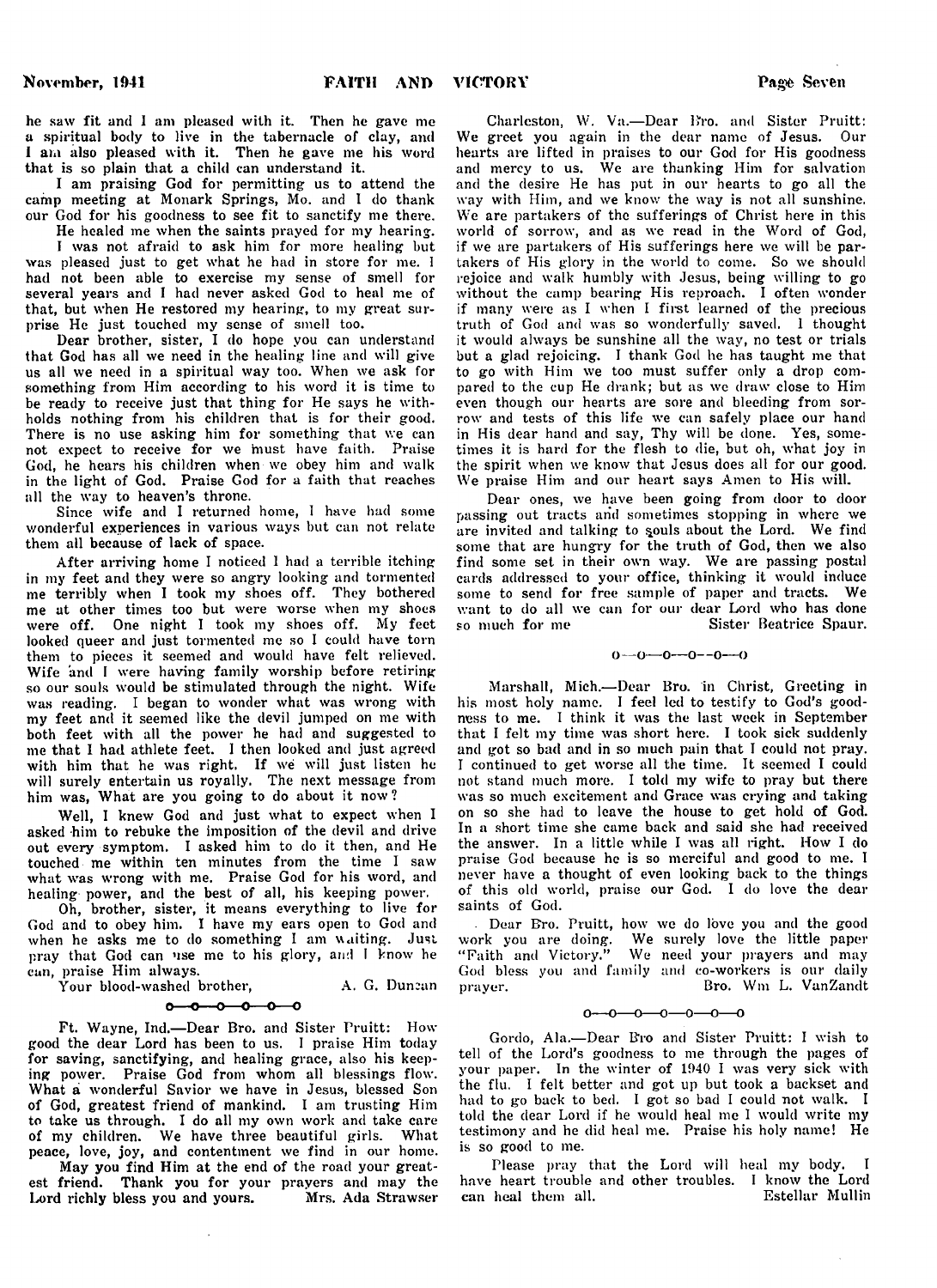he saw fit and 1 am pleased with it. Then he gave me a spiritual body to live in the tabernacle of clay, and I am also pleased with it. Then he gave me his word that is so plain that a child can understand it.

I am praising God for permitting us to attend the camp meeting at Monark Springs, Mo. and I do thank our God for his goodness to see fit to sanctify me there. He healed me when the saints prayed for my hearing.

I was not afraid to ask him for more healing but was pleased just to get what he had in store for me. I had not been able to exercise my sense of smell for several years and I had never asked God to heal me of that, but when He restored my hearing, to my great surprise He just touched my sense of smell too.

Dear brother, sister, I do hope you can understand that God has all we need in the healing line and will give us all we need in a spiritual way too. When we ask for something from Him according to his word it is time to be ready to receive just that thing for He says he withholds nothing from his children that is for their good. There is no use asking him for something that we can not expect to receive for we must have faith. Praise God, he hears his children when we obey him and walk in the light of God. Praise God for a faith that reaches all the way to heaven's throne.

Since wife and I returned home, I have had some wonderful experiences in various ways but can not relate them all because of lack of space.

After arriving home I noticed 1 had a terrible itching in my feet and they were so angry looking and tormented me terribly when I took my shoes off. They bothered me at other times too but were worse when my shoes were off. One night I took my shoes off. My feet looked queer and just tormented me so I could have torn them to pieces it seemed and would have felt relieved. Wife and I were having family worship before retiring so our souls would be stimulated through the night. Wife was reading. I began to wonder what was wrong with my feet and it seemed like the devil jumped on me with both feet with all the power he had and suggested to me that I had athlete feet. I then looked and just agreed with him that he was right. If we will just listen he will surely entertain us royally. The next message from him was, What are you going to do about it now?

Well, I knew God and just what to expect when I asked him to rebuke the imposition of the devil and drive out every symptom. I asked him to do it then, and He touched me within ten minutes from the time I saw what was wrong with me. Praise God for his word, and healing power, and the best of all, his keeping power.

Oh, brother, sister, it means everything to live for God and to obey him. I have my ears open to God and when he asks me to do something I am waiting. Just pray that God can use me to his glory, and I know he can, praise Him always.

Your blood-washed brother, A. G. Duncan

#### $0 - 0 - 0 - 0 - 0$

Ft. Wayne, Ind.— Dear Bro. and Sister Pruitt: How good the dear Lord has been to us. I praise Him today for saving, sanctifying, and healing grace, also his keeping power. Praise God from whom all blessings flow. What a wonderful Savior we have in Jesus, blessed Son of God, greatest friend of mankind. I am trusting Him to take us through. I do all my own work and take care of my children. We have three beautiful girls. What peace, love, joy, and contentment we find in our home.

May you find Him at the end of the road your greatest friend. Thank you for your prayers and may the Lord richly bless you and yours. Mrs. Ada Strawser Lord richly bless you and yours.

Charleston, W. Va.— Dear Bro. and Sister Pruitt: We greet you again in the dear name of Jesus. Our hearts are lifted in praises to our God for His goodness and mercy to us. We are thanking Him for salvation and the desire He has put in our hearts to go all the way with Him, and we know the way is not all sunshine. We are partakers of the sufferings of Christ here in this world of sorrow, and as we read in the Word of God, if we are partakers of His sufferings here we will be partakers of His glory in the world to come. So we should rejoice and walk humbly with Jesus, being willing to go without the camp bearing His reproach. I often wonder if many were as I when I first learned of the precious truth of God and was so wonderfully saved. 1 thought it would always be sunshine all the way, no test or trials but a glad rejoicing. I thank God he has taught me that to go with Him we too must suffer only a drop compared to the cup He drank; but as we draw close to Him even though our hearts are sore and bleeding from sorrow and tests of this life we can safely place our hand in His dear hand and say, Thy will be done. Yes, sometimes it is hard for the flesh to die, but oh, what joy in the spirit when we know that Jesus does all for our good. We praise Him and our heart says Amen to His will.

Dear ones, we have been going from door to door passing out tracts and sometimes stopping in where we are invited and talking to souls about the Lord. We find some that are hungry for the truth of God, then we also find some set in their own way. We are passing postal cards addressed to your office, thinking it would induce some to send for free sample of paper and tracts. We want to do all we can for our dear Lord who has done<br>so much for me Sister Beatrice Spaur. Sister Beatrice Spaur.

$$
0 - 0 - 0 - 0 - 0 - 0
$$

Marshall, Mich.— Dear Bro. in Christ, Greeting in his most holy name. I feel led to testify to God's goodness to me. 1 think it was the last week in September that I felt my time was short here. I took sick suddenly and got so bad and in so much pain that I could not pray. I continued to get worse all the time. It seemed I could not stand much more. I told my wife to pray but there was so much excitement and Grace was crying and taking on so she had to leave the house to get hold of God. In a short time she came back and said she had received the answer. In a little while I was all right. How I do praise God because he is so merciful and good to me. I never have a thought of even looking back to the things of this old world, praise our God. I do love the dear saints of God.

. Dear Bro. Pruitt, how we do love you and the good work you are doing. We surely love the little paper<br>"Faith and Victory." We need your prayers and may We need your prayers and may God bless you and family and co-workers is our daily prayer. Separate Bro. Wm L. VanZandt

 $0 \rightarrow 0 \rightarrow 0 \rightarrow 0 \rightarrow 0 \rightarrow 0$ 

Gordo, Ala.— Dear Bro and Sister Pruitt: I wish to tell of the Lord's goodness to me through the pages of your paper. In the winter of 1940 I was very sick with the flu. I felt better and got up but took a backset and had to go back to bed. I got so bad I could not walk. I told the dear Lord if he would heal me I would write my testimony and he did heal me. Praise his holy name! He is so good to me.

Please pray that the Lord will heal my body. I have heart trouble and other troubles. I know the Lord can heal them all.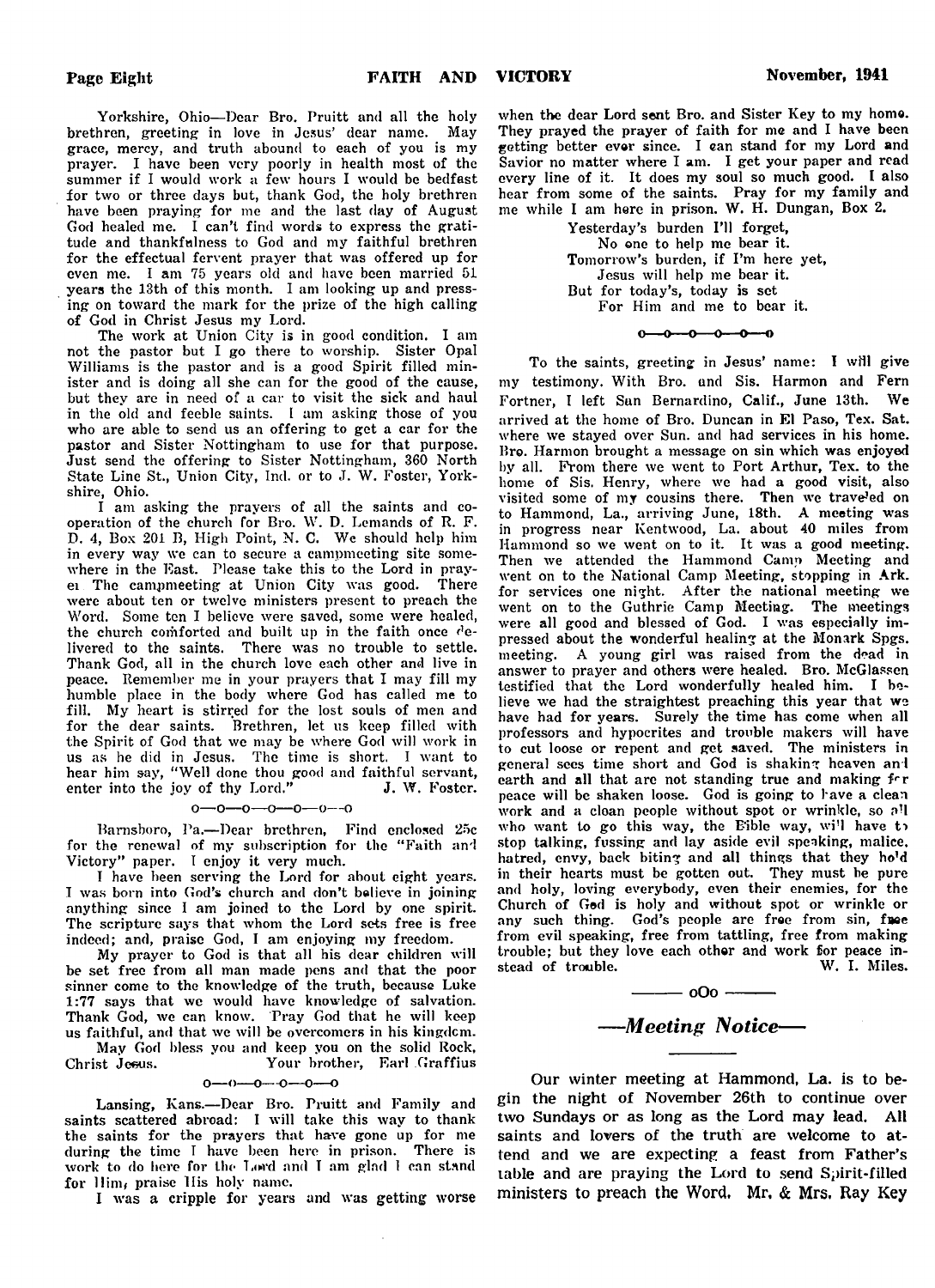Yorkshire, Ohio— Dear Bro. Pruitt and all the holy brethren, greeting in love in Jesus' dear name. May grace, mercy, and truth abound to each of you is my prayer. I have been very poorly in health most of the summer if I would work a few hours I would be bedfast for two or three days but, thank God, the holy brethren have been praying for me and the last day of August God healed me. I can't find words to express the gratitude and thankfulness to God and my faithful brethren for the effectual fervent prayer that was offered up for even me. I am 75 years old and have been married 51 years the 13th of this month. I am looking up and pressing on toward the mark for the prize of the high calling of God in Christ Jesus my Lord.

The work at Union City is in good condition. I am not the pastor but I go there to worship. Sister Opal Williams is the pastor and is a good Spirit filled minister and is doing all she can for the good of the cause, but they are in need of a car to visit the sick and haul in the old and feeble saints. I am asking those of you who are able to send us an offering to get a car for the pastor and Sister Nottingham to use for that purpose. Just send the offering to Sister Nottingham, 360 North State Line St., Union City, Ind. or to J. W. Foster, Yorkshire, Ohio.

I am asking the prayers of all the saints and cooperation of the church for Bro. W. D. Lemands of R. F. D. 4, Box 201 B, High Point, N. C. We should help him in every way we can to secure a campmeeting site somewhere in the East. Please take this to the Lord in prayei The campmeeting at Union City was good. There were about ten or twelve ministers present to preach the Word. Some ten I believe were saved, some were healed, the church comforted and built up in the faith once  $de$ livered to the saints. There was no trouble to settle. Thank God, all in the church love each other and live in peace. Remember me in your prayers that I may fill my humble place in the body where God has called me to fill. My heart is stirred for the lost souls of men and for the dear saints. Brethren, let us keep filled with the Spirit of God that we may be where God will work in us as he did in Jesus. The time is short. I want to hear him say, " Well done thou good and faithful servant, enter into the joy of thy Lord."  $J. W.$  Foster.

#### o — o — o — o— o — o— o

Barnsboro, Pa.— Dear brethren, Find enclosed 25c for the renewal of my subscription for the "Faith and Victory" paper. I enjoy it very much.

I have been serving the Lord for about eight years. I was born into God's church and don't bolieve in joining anything since I am joined to the Lord by one spirit. The scripture says that whom the Lord sets free is free indeed; and, praise God, I am enjoying my freedom.

My prayer to God is that all his dear children will be set free from all man made pens and that the poor sinner come to the knowledge of the truth, because Luke 1:77 says that we would have knowledge of salvation. Thank God, we can know. Pray God that he will keep us faithful, and that we will be overcomers in his kingdom. May God bless you and keep you on the solid Rock,

Christ Jeeus. Your brother, Earl Graffius

 $0 - 0 - 0 - 0$  $-0$ -

Lansing, Kans.—Dear Bro. Pruitt and Family and saints scattered abroad: I will take this way to thank the saints for the prayers that have gone up for me during the time T have been here in prison. There is work to do here for the Lord and T am glad I can stand for Him, praise His holy name.

I was a cripple for years and was getting worse

when the dear Lord sent Bro. and Sister Key to my homo. They prayed the prayer of faith for me and I have been getting better evor since. I can stand for my Lord and Savior no matter where I am. I get your paper and read every line of it. It does my soul so much good. I also hear from some of the saints. Pray for my family and me while I am here in prison. W. H. Dungan, Box 2.

> Yesterday's burden I'll forget, No one to help me bear it. Tomorrow's burden, if I'm here yet, Jesus will help me bear it. But for today's, today is set For Him and me to bear it.

> > $0 - 0 - 0 - 0 - 0 = 0$

To the saints, greeting in Jesus' name: I will give my testimony. With Bro. und Sis. Harmon and Fern Fortner, I left San Bernardino, Calif., June 13th. We arrived at the home of Bro. Duncan in El Paso, Tex. Sat. where we stayed over Sun. and had services in his home. Bro. Harmon brought a message on sin which was enjoyed by all. From there we went to Port Arthur, Tex. to the home of Sis. Henry, where we had a good visit, also visited some of my cousins there. Then we trave<sup>j</sup>ed on to Hammond, La., arriving June, 18th. A meeting was in progress near Kentwood, La. about 40 miles from Hammond so we went on to it. It was a good meeting. Then we attended the Hammond Camp Meeting and went on to the National Camp Meeting, stopping in Ark. for services one night. After the national meeting we went on to the Guthrie Camp Meeting. The meetings were all good and blessed of God. I was especially impressed about the wonderful healing at the Monark Spgs. meeting. A young girl was raised from the dead in answer to prayer and others were healed. Bro. McGlassen testified that the Lord wonderfully healed him. I believe we had the straightest preaching this year that we have had for years. Surely the time has come when all professors and hypocrites and trouble makers will have to cut loose or repent and get saved. The ministers in general sees time short and God is shaking heaven and earth and all that are not standing true and making for peace will be shaken loose. God is going to have a clean work and a clean people without spot or wrinkle, so all who want to go this way, the Eible way, wi'l have to stop talking, fussing and lay aside evil speaking, malice, hatred, envy, back biting and all things that they ho'd in their hearts must be gotten out. They must be pure and holy, loving everybody, even their enemies, for the Church of God is holy and without spot or wrinkle or any such thing. God's people are free from sin, free from evil speaking, free from tattling, free from making trouble; but they love each other and work for peace in-<br>stead of trouble. W. I. Miles. stead of trouble.

# *— Meeting Notice*—

 $\frac{\ }{\ }$  000  $\frac{\ }{\ }$ 

Our winter meeting at Hammond, La. is to begin the night of November 26th to continue over two Sundays or as long as the Lord may lead. All saints and lovers of the truth are welcome to attend and we are expecting a feast from Father's table and are praying the Lord to send Spirit-filled ministers to preach the Word, Mr, *&* Mrs. Ray Key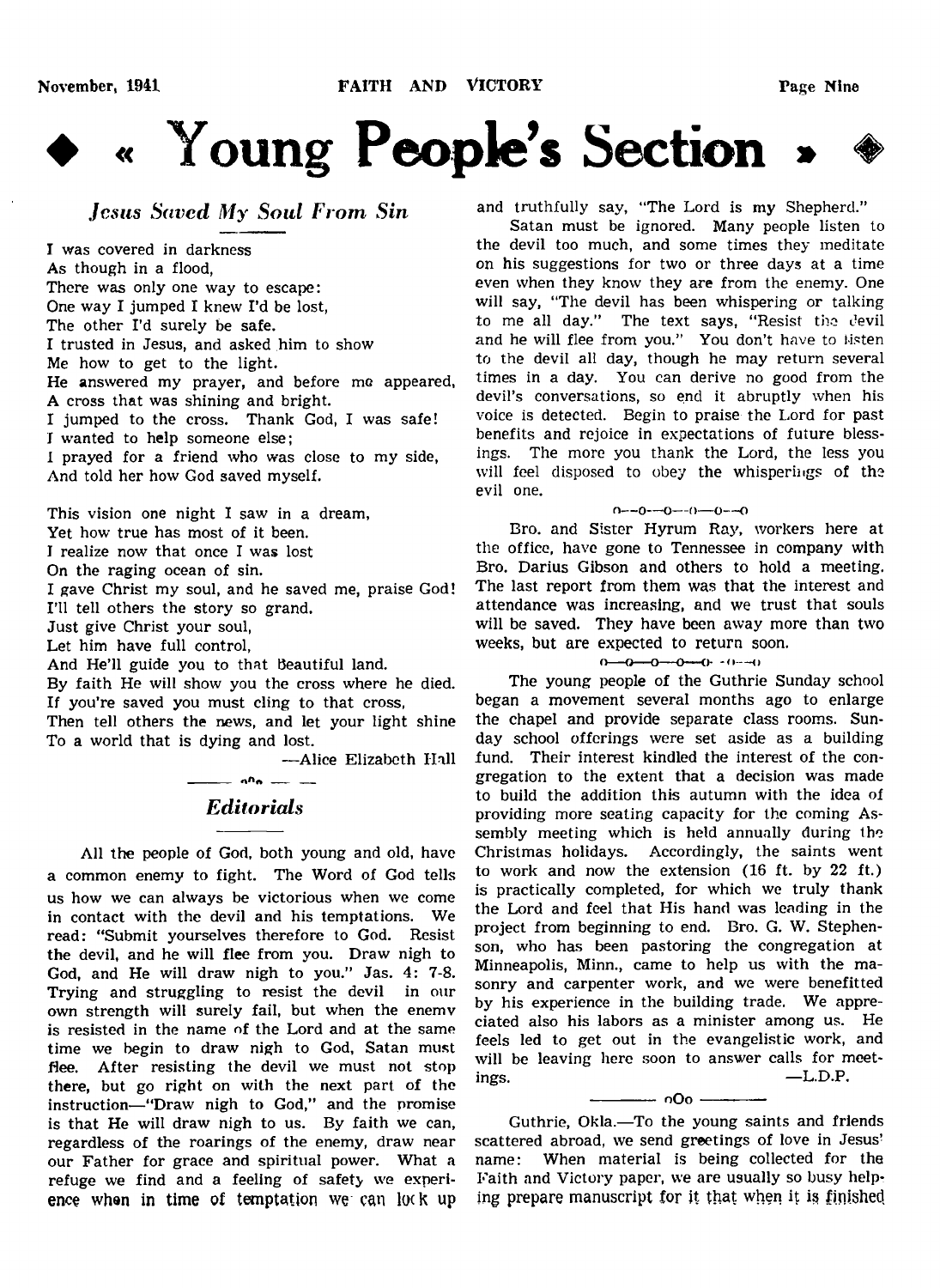

*Jesus Saved My Soul From Sin*

I was covered in darkness As though in a flood, There was only one way to escape: One way I jumped I knew I'd be lost, The other I'd surely be safe. I trusted in Jesus, and asked him to show Me how to get to the light. He answered my prayer, and before me appeared, A cross that was shining and bright. I jumped to the cross. Thank God, I was safe! I wanted to help someone else; I prayed for a friend who was close to my side, And told her how God saved myself.

This vision one night I saw in a dream, Yet how true has most of it been. I realize now that once I was lost On the raging ocean of sin. I gave Christ my soul, and he saved me, praise God! I'll tell others the story so grand.

Just give Christ your soul,

Let him have full control,

And He'll guide you to that Beautiful land.

By faith He will show you the cross where he died. If you're saved you must cling to that cross,

Then tell others the news, and let your light shine To a world that is dying and lost.

— Alice Elizabeth Hall  $\frac{1}{\sqrt{2}}$   $\frac{1}{\sqrt{2}}$   $\frac{1}{\sqrt{2}}$   $\frac{1}{\sqrt{2}}$   $\frac{1}{\sqrt{2}}$   $\frac{1}{\sqrt{2}}$   $\frac{1}{\sqrt{2}}$   $\frac{1}{\sqrt{2}}$   $\frac{1}{\sqrt{2}}$   $\frac{1}{\sqrt{2}}$   $\frac{1}{\sqrt{2}}$   $\frac{1}{\sqrt{2}}$   $\frac{1}{\sqrt{2}}$   $\frac{1}{\sqrt{2}}$   $\frac{1}{\sqrt{2}}$   $\frac{1}{\sqrt{2}}$   $\frac{1}{\sqrt{2}}$ 

## *Editorials*

All the people of God, both young and old, have a common enemy to fight. The Word of God tells us how we can always be victorious when we come in contact with the devil and his temptations. We read: "Submit yourselves therefore to God. Resist the devil, and he will flee from you. Draw nigh to God, and He will draw nigh to you." Jas. 4: 7-8. Trying and struggling to resist the devil in our own strength will surely fail, but when the enemv is resisted in the name of the Lord and at the same time we begin to draw nigh to God, Satan must flee. After resisting the devil we must not stop there, but go right on with the next part of the instruction— "Draw nigh to God," and the promise is that He will draw nigh to us. By faith we can, regardless of the roarings of the enemy, draw near our Father for grace and spiritual power. What a refuge we find and a feeling of safety we experience when in time of temptation we can lock up

and truthfully say, "The Lord is my Shepherd."

Satan must be ignored. Many people listen to the devil too much, and some times they meditate on his suggestions for two or three days at a time even when they know they are from the enemy. One will say, "The devil has been whispering or talking to me all day." The text says, "Resist the devil and he will flee from you." You don't have to listen to the devil all day, though he may return several times in a day. You can derive no good from the devil's conversations, so end it abruptly when his voice is detected. Begin to praise the Lord for past benefits and rejoice in expectations of future blessings. The more you thank the Lord, the less you will feel disposed to obey the whisperings of the evil one.

### $n = 0$  –  $0$  –  $(0)$  –  $0$  –  $-0$

Bro. and Sister Hyrum Ray, workers here at the office, have gone to Tennessee in company with Bro. Darius Gibson and others to hold a meeting. The last report from them was that the interest and attendance was increasing, and we trust that souls will be saved. They have been away more than two weeks, but are expected to return soon.

### $0 - 0 - 0 - 0 - 0 - 0 - 0$

The young people of the Guthrie Sunday school began a movement several months ago to enlarge the chapel and provide separate class rooms. Sunday school offerings were set aside as a building fund. Their interest kindled the interest of the congregation to the extent that a decision was made to build the addition this autumn with the idea of providing more seating capacity for the coming Assembly meeting which is held annually during the Christmas holidays. Accordingly, the saints went to work and now the extension (16 ft. by 22 ft.) is practically completed, for which we truly thank the Lord and feel that His hand was leading in the project from beginning to end. Bro. G. W. Stephenson, who has been pastoring the congregation at Minneapolis, Minn., came to help us with the masonry and carpenter work, and we were benefitted by his experience in the building trade. We appreciated also his labors as a minister among us. He feels led to get out in the evangelistic work, and will be leaving here soon to answer calls for meet- $\qquad \qquad \text{ing}$ s.  $\qquad \qquad \text{L.D.P.}$ 

------------- o O o -------------

Guthrie, Okla.—To the young saints and friends scattered abroad, we send greetings of love in Jesus' name: When material is being collected for the Faith and Victory paper, we are usually so busy helping prepare manuscript for it that when it is finishecl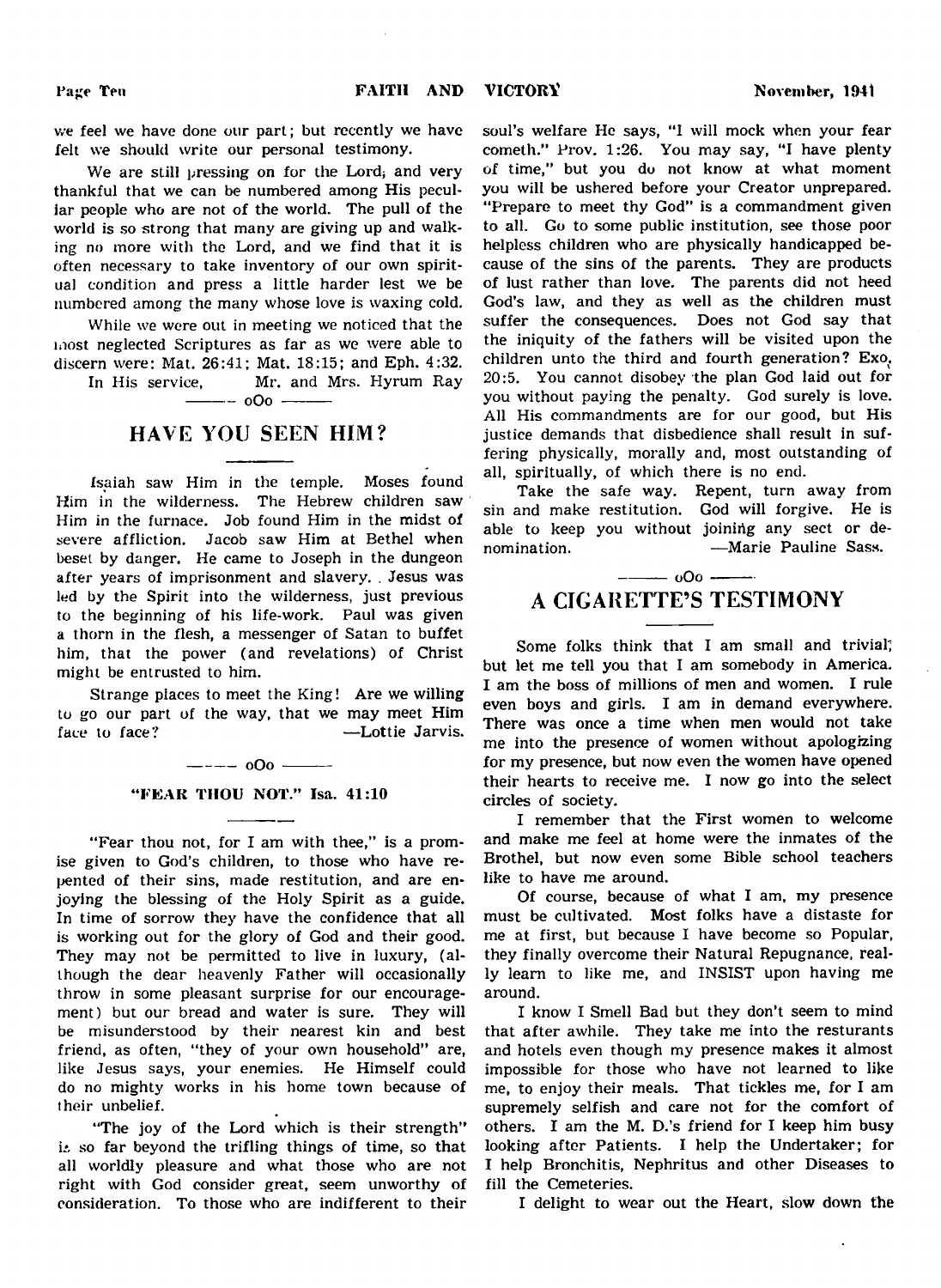we feel we have done our part; but recently we have felt we should write our personal testimony.

We are still pressing on for the Lord, and very thankful that we can be numbered among His peculiar people who are not of the world. The pull of the world is so strong that many are giving up and walking no more with the Lord, and we find that it is often necessary to take inventory of our own spiritual condition and press a little harder lest we be numbered among the many whose love is waxing cold.

While we were out in meeting we noticed that the most neglected Scriptures as far as we were able to discern were: Mat. 26:41; Mat. 18:15; and Eph. 4:32.

In His service, Mr. and Mrs. Hyrum Ray  $-000 -$ 

## HAVE YOU SEEN HIM?

Isaiah saw Him in the temple. Moses found Him in the wilderness. The Hebrew children saw Him in the furnace. Job found Him in the midst of severe affliction. Jacob saw Him at Bethel when beset by danger. He came to Joseph in the dungeon after years of imprisonment and slavery. . Jesus was led by the Spirit into the wilderness, just previous to the beginning of his life-work. Paul was given a thorn in the flesh, a messenger of Satan to buffet him, that the power (and revelations) of Christ might be entrusted to him.

Strange places to meet the King! Are we willing to go our part of the way, that we may meet Him face to face? — — — — — — — — Lottie Jarvis.

 $--- - 000$   $--- -$ 

#### "FEAR THOU NOT." Isa. 41:10

"Fear thou not, for I am with thee," is a promise given to God's children, to those who have repented of their sins, made restitution, and are enjoying the blessing of the Holy Spirit as a guide. In time of sorrow they have the confidence that all is working out for the glory of God and their good. They may not be permitted to live in luxury, (although the dear heavenly Father will occasionally throw in some pleasant surprise for our encouragement) but our bread and water is sure. They will be misunderstood by their nearest kin and best friend, as often, "they of your own household" are, like Jesus says, your enemies. He Himself could do no mighty works in his home town because of their unbelief.

"The joy of the Lord which is their strength"  $i$ : so far beyond the trifling things of time, so that all worldly pleasure and what those who are not right with God consider great, seem unworthy of consideration. To those who are indifferent to their

soul's welfare He says, "I will mock when your fear cometh." Prov. 1:26. You may say, "I have plenty of time," but you do not know at what moment you will be ushered before your Creator unprepared. "Prepare to meet thy God" is a commandment given to all. Go to some public institution, see those poor helpless children who are physically handicapped because of the sins of the parents. They are products of lust rather than love. The parents did not heed God's law, and they as well as the children must suffer the consequences. Does not God say that the iniquity of the fathers will be visited upon the children unto the third and fourth generation? Exo. 20:5. You cannot disobey the plan God laid out for you without paying the penalty. God surely is love. All His commandments are for our good, but His justice demands that disbedience shall result in suffering physically, morally and, most outstanding of all, spiritually, of which there is no end.

Take the safe way. Repent, turn away from sin and make restitution. God will forgive. He is able to keep you without joining any sect or denomination. — — — — — Marie Pauline Sass.

## $-$  000  $-$ A CIGARETTE'S TESTIMONY

Some folks think that I am small and trivial', but let me tell you that I am somebody in America. I am the boss of millions of men and women. I rule even boys and girls. I am in demand everywhere. There was once a time when men would not take me into the presence of women without apologizing for my presence, but now even the women have opened their hearts to receive me. I now go into the select circles of society.

I remember that the First women to welcome and make me feel at home were the inmates of the Brothel, but now even some Bible school teachers like to have me around.

Of course, because of what I am, my presence must be cultivated. Most folks have a distaste for me at first, but because I have become so Popular, they finally overcome their Natural Repugnance, really learn to like me, and INSIST upon having me around.

I know I Smell Bad but they don't seem to mind that after awhile. They take me into the resturants and hotels even though my presence makes it almost impossible for those who have not learned to like me, to enjoy their meals. That tickles me, for I am supremely selfish and care not for the comfort of others. I am the M. D.'s friend for I keep him busy looking after Patients. I help the Undertaker; for I help Bronchitis, Nephritus and other Diseases to fill the Cemeteries.

I delight to wear out the Heart, slow down the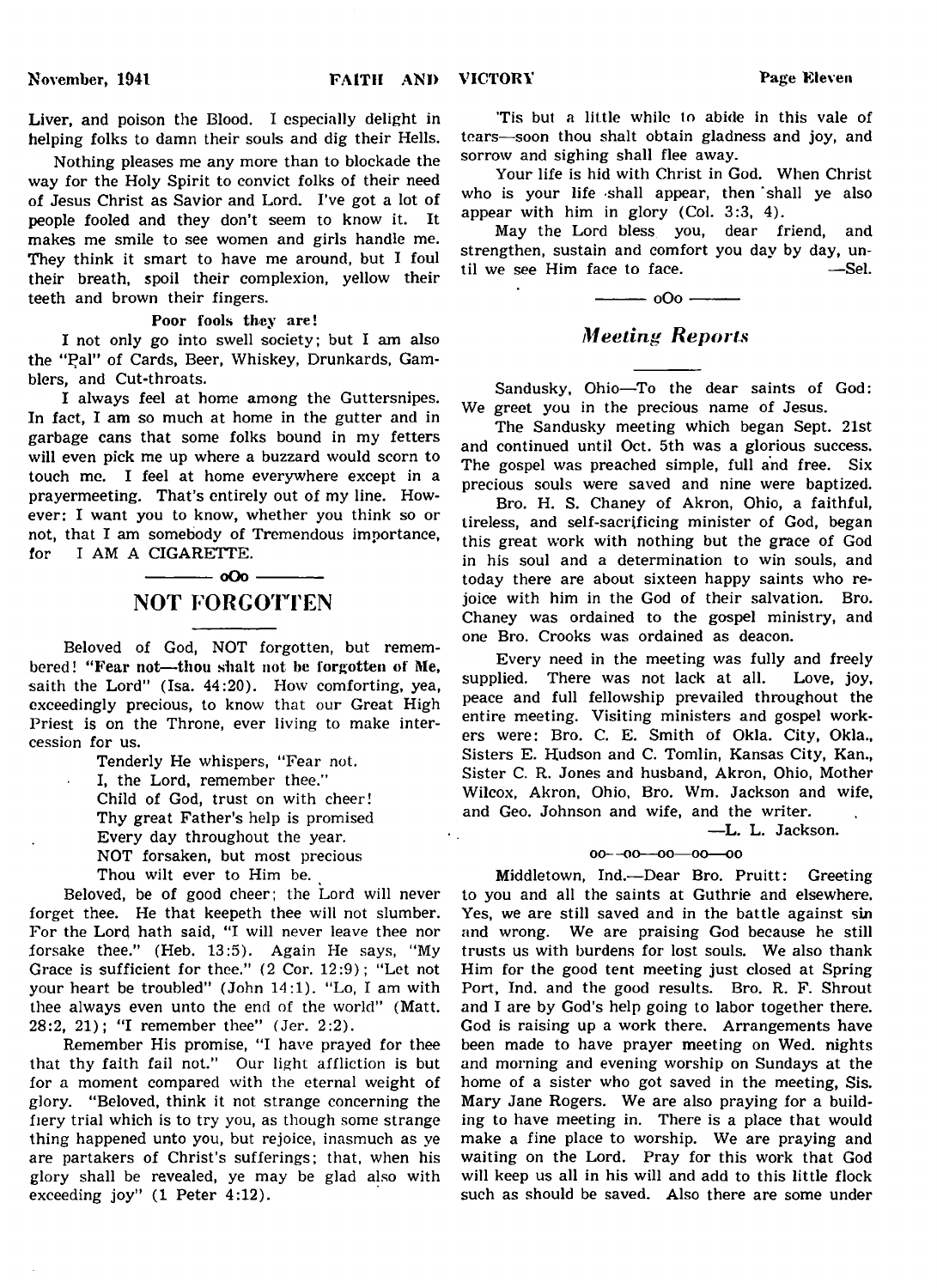Liver, and poison the Blood. I especially delight in helping folks to damn their souls and dig their Hells.

Nothing pleases me any more than to blockade the way for the Holy Spirit to convict folks of their need of Jesus Christ as Savior and Lord. I've got a lot of people fooled and they don't seem to know it. It makes me smile to see women and girls handle me. They think it smart to have me around, but I foul their breath, spoil their complexion, yellow their teeth and brown their fingers.

Poor fools they are!

I not only go into swell society; but I am also the "Pal" of Cards, Beer, Whiskey, Drunkards, Gamblers, and Cut-throats.

I always feel at home among the Guttersnipes. In fact, I am so much at home in the gutter and in garbage cans that some folks bound in my fetters will even pick me up where a buzzard would scorn to touch me. I feel at home everywhere except in a prayermeeting. That's entirely out of my line. However; I want you to know, whether you think so or not, that I am somebody of Tremendous importance, for I AM A CIGARETTE.

## $-$  0Oo  $-$ NOT FORGOTTEN

Beloved of God, NOT forgotten, but remembered! "Fear not—thou shalt not be forgotten of Me, saith the Lord" (Isa. 44:20). How comforting, yea, exceedingly precious, to know that our Great High Priest is on the Throne, ever living to make intercession for us.

Tenderly He whispers, "Fear not.

I, the Lord, remember thee." Child of God, trust on with cheer! Thy great Father's help is promised Every day throughout the year.

NOT forsaken, but most precious

Thou wilt ever to Him be.

Beloved, be of good cheer; the Lord will never forget thee. He that keepeth thee will not slumber. For the Lord hath said, "I will never leave thee nor forsake thee." (Heb. 13:5). Again He says, "My Grace is sufficient for thee." (2 Cor. 12:9); "Let not your heart be troubled" (John 14:1). "Lo, I am with thee always even unto the end of the world" (Matt. 28:2, 21); "I remember thee" (Jer. 2:2).

Remember His promise, "I have prayed for thee that thy faith fail not." Our light affliction is but for a moment compared with the eternal weight of glory. " Beloved, think it not strange concerning the fiery trial which is to try you, as though some strange thing happened unto you, but rejoice, inasmuch as ye are partakers of Christ's sufferings; that, when his glory shall be revealed, ye may be glad also with exceeding joy" (1 Peter 4:12).

'Tis but a little while to abide in this vale of tears—soon thou shalt obtain gladness and joy, and sorrow and sighing shall flee away.

Your life is hid with Christ in God. When Christ who is your life shall appear, then shall ye also appear with him in glory (Col. 3:3, 4).

May the Lord bless you, dear friend, and strengthen, sustain and comfort you day by day, until we see Him face to face.  $\qquad$ —Sel. til we see Him face to face.



## *Meeting Reports*

Sandusky, Ohio—To the dear saints of God: We greet you in the precious name of Jesus.

The Sandusky meeting which began Sept. 21st and continued until Oct. 5th was a glorious success. The gospel was preached simple, full and free. Six precious souls were saved and nine were baptized.

Bro. H. S. Chaney of Akron, Ohio, a faithful, tireless, and self-sacrificing minister of God, began this great work with nothing but the grace of God in his soul and a determination to win souls, and today there are about sixteen happy saints who rejoice with him in the God of their salvation. Bro. Chaney was ordained to the gospel ministry, and one Bro. Crooks was ordained as deacon.

Every need in the meeting was fully and freely supplied. There was not lack at all. Love, joy, peace and full fellowship prevailed throughout the entire meeting. Visiting ministers and gospel workers were: Bro. C. E. Smith of Okla. City, Okla., Sisters E. Hudson and C. Tomlin, Kansas City, Kan., Sister C. R. Jones and husband, Akron, Ohio, Mother Wilcox, Akron, Ohio, Bro. Wm. Jackson and wife, and Geo. Johnson and wife, and the writer.

—L. L. Jackson,

## oo—oo—oo—oo—oo

Middletown, Ind.—Dear Bro. Pruitt: Greeting to you and all the saints at Guthrie and elsewhere. Yes, we are still saved and in the battle against sin and wrong. We are praising God because he still trusts us with burdens for lost souls. We also thank Him for the good tent meeting just closed at Spring Port, Ind. and the good results. Bro. R. F. Shrout and I are by God's help going to labor together there. God is raising up a work there. Arrangements have been made to have prayer meeting on Wed. nights and morning and evening worship on Sundays at the home of a sister who got saved in the meeting, Sis. Mary Jane Rogers. We are also praying for a building to have meeting in. There is a place that would make a fine place to worship. We are praying and waiting on the Lord. Pray for this work that God will keep us all in his will and add to this little flock such as should be saved. Also there are some under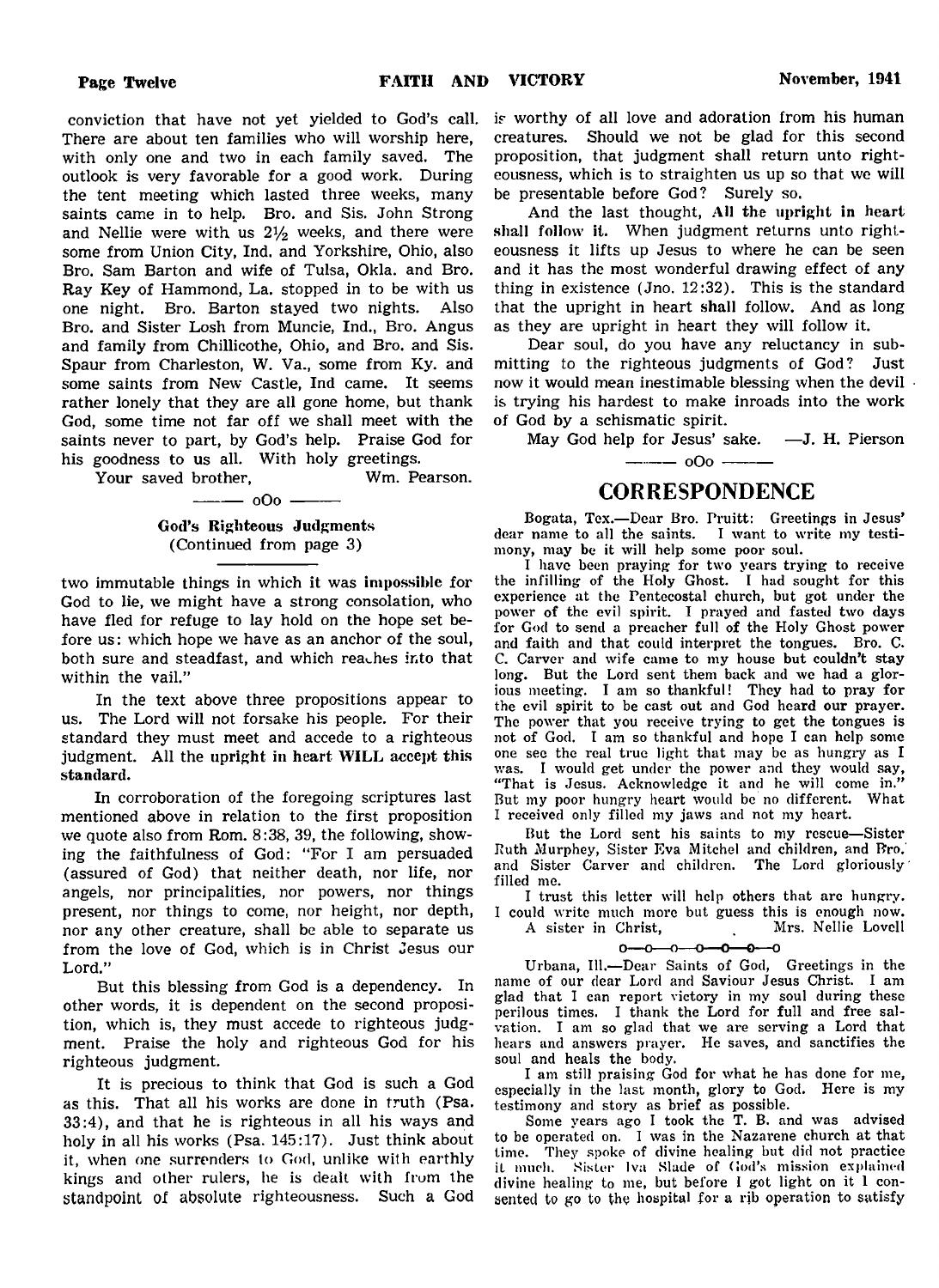is worthy of all love and adoration from his human creatures. Should we not be glad for this second proposition, that judgment shall return unto righteousness, which is to straighten us up so that we will

the tent meeting which lasted three weeks, many saints came in to help. Bro. and Sis. John Strong and Nellie were with us  $2\frac{1}{2}$  weeks, and there were some from Union City, Ind. and Yorkshire, Ohio, also Bro. Sam Barton and wife of Tulsa, Okla. and Bro. Ray Key of Hammond, La. stopped in to be with us one night. Bro. Barton stayed two nights. Also Bro. and Sister Losh from Muncie, Ind., Bro. Angus and family from Chillicothe, Ohio, and Bro. and Sis. be presentable before God? Surely so. And the last thought, All the upright in heart shall follow it. When judgment returns unto righteousness it lifts up Jesus to where he can be seen and it has the most wonderful drawing effect of any thing in existence (Jno. 12:32). This is the standard that the upright in heart shall follow. And as long as they are upright in heart they will follow it.

Dear soul, do you have any reluctancy in submitting to the righteous judgments of God? Just now it would mean inestimable blessing when the devil is trying his hardest to make inroads into the work of God by a schismatic spirit.

May God help for Jesus' sake.  $\quad -J.$  H. Pierson

saints never to part, by God's help. Praise God for his goodness to us all. With holy greetings. Your saved brother, Wm. Pearson.

Spaur from Charleston, W. Va., some from Ky. and some saints from New Castle, Ind came. It seems rather lonely that they are all gone home, but thank God, some time not far off we shall meet with the

conviction that have not yet yielded to God's call. There are about ten families who will worship here, with only one and two in each family saved. The outlook is very favorable for a good work. During

- <u>oOo</u> -

God's Righteous Judgments (Continued from page 3)

two immutable things in which it was impossible for God to lie, we might have a strong consolation, who have fled for refuge to lay hold on the hope set before us: which hope we have as an anchor of the soul, both sure and steadfast, and which reaches into that within the vail."

In the text above three propositions appear to us. The Lord will not forsake his people. For their standard they must meet and accede to a righteous judgment. All the upright in heart WILL accept this standard.

In corroboration of the foregoing scriptures last mentioned above in relation to the first proposition we quote also from Rom. 8:38, 39, the following, showing the faithfulness of God: "For I am persuaded (assured of God) that neither death, nor life, nor angels, nor principalities, nor powers, nor things present, nor things to come, nor height, nor depth, nor any other creature, shall be able to separate us from the love of God, which is in Christ Jesus our Lord."

But this blessing from God is a dependency. In other words, it is dependent on the second proposition, which is, they must accede to righteous judgment. Praise the holy and righteous God for his righteous judgment.

It is precious to think that God is such a God as this. That all his works are done in truth (Psa. 33:4), and that he is righteous in all his ways and holy in all his works (Psa. 145:17). Just think about it, when one surrenders to God, unlike with earthly kings and other rulers, he is dealt with from the standpoint of absolute righteousness. Such a God **CORRESPONDENCE** 

Bogata, Tex.— Dear Bro. Pruitt: Greetings in Jesus' dear name to all the saints. I want to write my testimony, may be it will help some poor soul.

 $-$  000  $-$ 

I have been praying for two years trying to receive the infilling of the Holy Ghost. I had sought for this experience at the Pentecostal church, but got under the power of the evil spirit. I prayed and fasted two days for God to send a preacher full of the Holy Ghost power and faith and that could interpret the tongues. Bro. C. C. Carver and wife came to my house but couldn't stay long. But the Lord sent them back and we had a glorious meeting. I am so thankful! They had to pray for the evil spirit to be cast out and God heard our prayer. The power that you receive trying to get the tongues is not of God. I am so thankful and hope I can help some one see the real true light that may be as hungry as I was. I would get under the power and they would say, "That is Jesus. Acknowledge it and he will come in."<br>But my poor hungry heart would be no different. What But my poor hungry heart would be no different. I received only filled my jaws and not my heart.

But the Lord sent his saints to my rescue— Sister Ruth Murphey, Sister Eva Mitchel and children, and Bro.' and Sister Carver and children. The Lord gloriously' filled me.

I trust this letter will help others that are hungry.

I could write much more but guess this is enough now. A sister in Christ,

 $0 - 0 - 0 - 0 - 0 - 0 - 0$ 

Urbana, 111.— Dear Saints of God, Greetings in the name of our dear Lord and Saviour Jesus Christ. I am glad that I can report victory in my soul during these perilous times. I thank the Lord for full and free salvation. I am so glad that we are serving a Lord that hears and answers prayer. He saves, and sanctifies the soul and heals the body.

I am still praising God for what he has done for me, especially in the last month, glory to God. Here is my testimony and story as brief as possible.

Some years ago I took the T. B. and was advised to be operated on. I was in the Nazarene church at that time. They spoke of divine healing but did not practice it much. Sister Iva Slade of God's mission explained divine healing to me, but before I got light on it 1 consented to go to the hospital for a rib operation to satisfy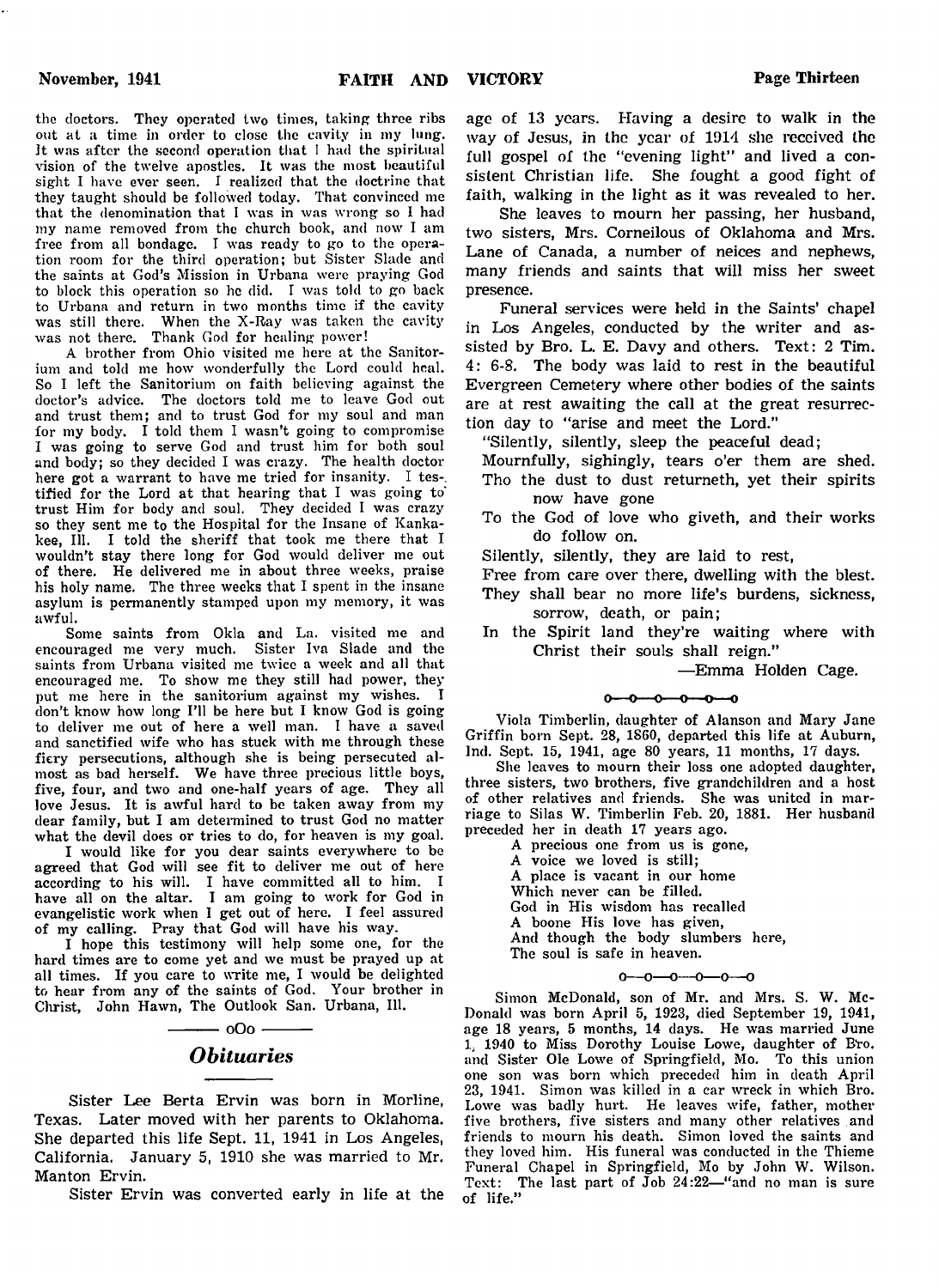the doctors. They operated two times, taking three ribs out at a time in order to close the cavity in my lung. It was after the second operation that I had the spiritual vision of the twelve apostles. It was the most beautiful sight I have ever seen. I realized that the doctrine that they taught should be followed today. That convinced me that the denomination that I was in was wrong so I had my name removed from the church book, and now I am free from all bondage. I was ready to go to the operation room for the third operation; but Sister Slade and the saints at God's Mission in Urbana were praying God to block this operation so he did. I was told to go back to Urbana and return in two months time if the cavity was still there. When the X-Ray was taken the cavity was not there. Thank God for healing power!

A brother from Ohio visited me here at the Sanitorium and told me how wonderfully the Lord could heal. So I left the Sanitorium on faith believing against the doctor's advice. The doctors told me to leave God out and trust them; and to trust God for my soul and man for my body. I told them I wasn't going to compromise I was going to serve God and trust him for both soul and body; so they decided I was crazy. The health doctor here got a warrant to have me tried for insanity. I testified for the Lord at that hearing that I was going to' trust Him for body and soul. They decided I was crazy so they sent me to the Hospital for the Insane of Kankakee, 111. I told the sheriff that took me there that I wouldn't stay there long for God would deliver me out of there. He delivered me in about three weeks, praise his holy name. The three weeks that I spent in the insane asylum is permanently stamped upon my memory, it was awful.

Some saints from Okla and La. visited me and encouraged me very much. Sister Iva Slade and the saints from Urbana visited me twice a week and all that encouraged me. To show me they still had power, they put me here in the sanitorium against my wishes. I don't know how long I'll be here but I know God is going to deliver me out of here a well man. I have a saved and sanctified wife who has stuck with me through these fiery persecutions, although she is being persecuted almost as bad herself. We have three precious little boys, five, four, and two and one-half years of age. They all love Jesus. It is awful hard to be taken away from my dear family, but I am determined to trust God no matter what the devil does or tries to do, for heaven is my goal.

I would like for you dear saints everywhere to be agreed that God will see fit to deliver me out of here according to his will. I have committed all to him. I have all on the altar. I am going to work for God in evangelistic work when I get out of here. I feel assured of my calling. Pray that God will have his way.

I hope this testimony will help some one, for the hard times are to come yet and we must be prayed up at all times. If you care to write me, I would be delighted to hear from any of the saints of God. Your brother in Christ, John Hawn, The Outlook San. Urbana, 111.

> $-$  oOo  $-$ *Obituaries*

Sister Lee Berta Ervin was born in Morline, Texas. Later moved with her parents to Oklahoma. She departed this life Sept. 11, 1941 in Los Angeles, California. January 5, 1910 she was married to Mr. Manton Ervin.

Sister Ervin was converted early in life at the

age of 13 years. Having a desire to walk in the way of Jesus, in the year of 1914 she received the full gospel of the "evening light" and lived a consistent Christian life. She fought a good fight of faith, walking in the light as it was revealed to her.

She leaves to mourn her passing, her husband, two sisters, Mrs. Corneilous of Oklahoma and Mrs. Lane of Canada, a number of neices and nephews, many friends and saints that will miss her sweet presence.

Funeral services were held in the Saints' chapel in Los Angeles, conducted by the writer and assisted by Bro. L. E. Davy and others. Text: 2 Tim. 4: 6-8. The body was laid to rest in the beautiful Evergreen Cemetery where other bodies of the saints are at rest awaiting the call at the great resurrection day to "arise and meet the Lord."

"Silently, silently, sleep the peaceful dead;

Mournfully, sighingly, tears o'er them are shed. Tho the dust to dust returneth, yet their spirits now have gone

- To the God of love who giveth, and their works do follow on.
- Silently, silently, they are laid to rest,
- Free from care over there, dwelling with the blest.

They shall bear no more life's burdens, sickness, sorrow, death, or pain;

In the Spirit land they're waiting where with Christ their souls shall reign."

—Emma Holden Cage.

#### $0 - 0 - 0 - 0 - 0 - 0$

Viola Timberlin, daughter of Alanson and Mary Jane Griffin born Sept. 28, 1860, departed this life at Auburn, Ind. Sept. 15, 1941, age 80 years, 11 months, 17 days.

She leaves to mourn their loss one adopted daughter, three sisters, two brothers, five grandchildren and a host of other relatives and friends. She was united in marriage to Silas W. Timberlin Feb. 20, 1881. Her husband preceded her in death 17 years ago.

- A precious one from us is gone, A voice we loved is still; A place is vacant in our home Which never can be filled. God in His wisdom has recalled A boone His love has given,
- And though the body slumbers here,
- The soul is safe in heaven.

#### $0 - 0 - 0 - 0 - 0 - 0$

Simon McDonald, son of Mr. and Mrs. S. W. Mc-Donald was born April 5, 1923, died September 19, 1941, age 18 years, 5 months, 14 days. He was married June 1. 1940 to Miss Dorothy Louise Lowe, daughter of Bro. and Sister Ole Lowe of Springfield, Mo. To this union one son was born which preceded him in death April 23, 1941. Simon was killed in a car wreck in which Bro. Lowe was badly hurt. He leaves wife, father, mother five brothers, five sisters and many other relatives and friends to mourn his death. Simon loved the saints and they loved him. His funeral was conducted in the Thieme Funeral Chapel in Springfield, Mo by John W. Wilson. Text: The last part of Job 24:22-"and no man is sure of life."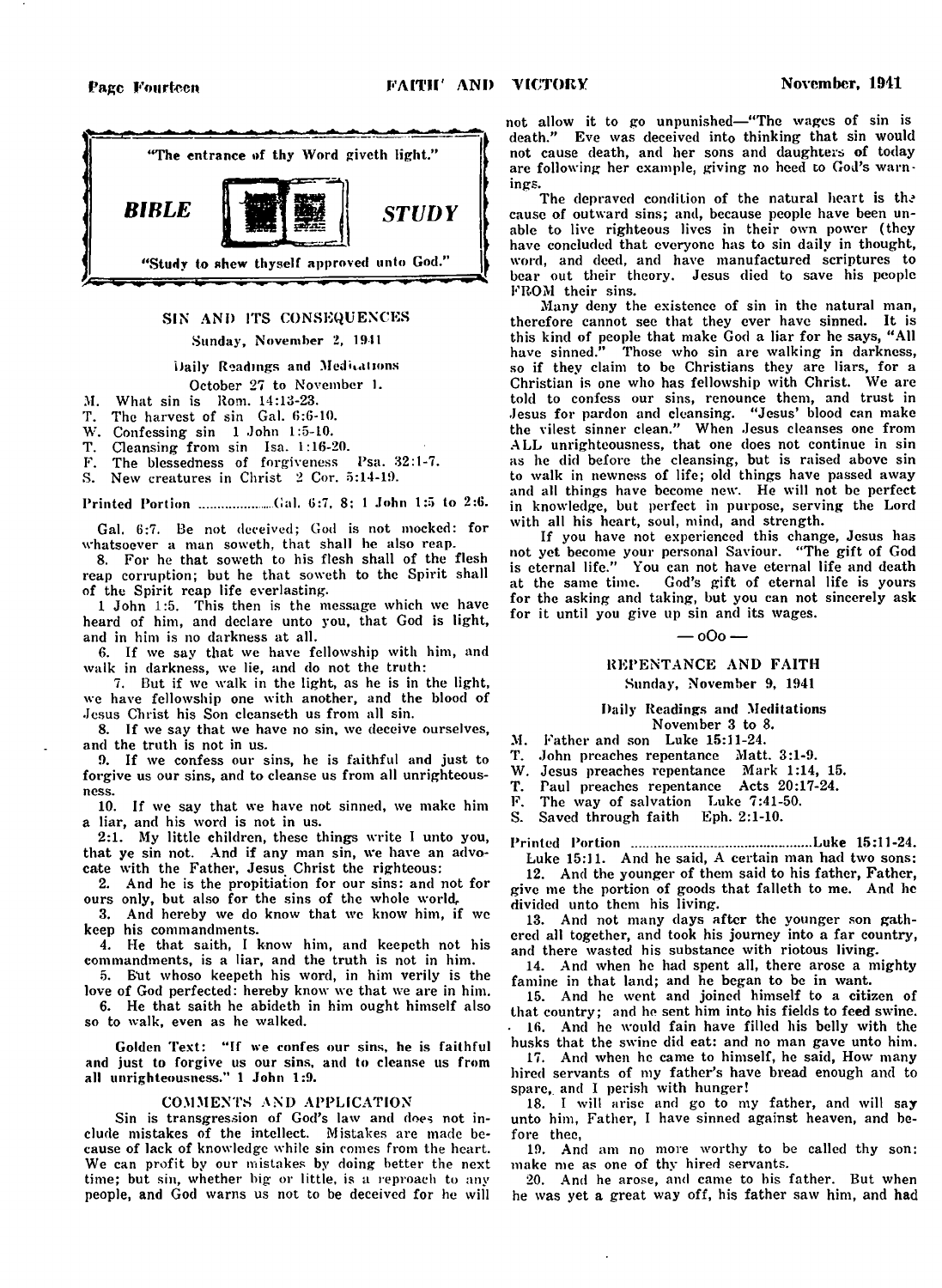

### SIN ANI) ITS CONSEQUENCES

#### Sunday, November 2, 1911

#### Daily Readings and Meditations

#### October 27 to November 1.

- 
- M. What sin is Rom. 14:13-23.<br>T. The harvest of sin Gal. 6:6-The harvest of sin Gal. 6:6-10.
- W. Confessing sin 1 John 1:5-10.
- T. Cleansing from sin Isa. 1:16-20.
- F. The blessedness of forgiveness Psa. 32:1-7.
- S. New creatures in Christ 2 Cor. 5:14-19.

Printed Portion ................... Gal. 6:7, 8: 1 John 1:5 to 2:6.

Gal. 6:7. Be not deceived; God is not mocked: for whatsoever a man soweth, that shall he also reap.

8. For he that soweth to his flesh shall of the flesh reap corruption; but he that soweth to the Spirit shall of the Spirit reap life everlasting.

1 John 1:5. This then is the message which we have heard of him, and declare unto you, that God is light, and in him is no darkness at all.

6. If we say that we have fellowship with him, and walk in darkness, we lie, and do not the truth:

7. But if we walk in the light, as he is in the light, we have fellowship one with another, and the blood of Jesus Christ his Son cleanseth us from all sin.

8. If we say that we have no sin, we deceive ourselves, and the truth is not in us.

9. If we confess our sins, he is faithful and just to forgive us our sins, and to cleanse us from all unrighteousness.

10. If we say that we have not sinned, we make him a liar, and his word is not in us.

2:1. My little children, these things write I unto you, that ye sin not. And if any man sin, we have an advocate with the Father, Jesus Christ the righteous:

2. And he is the propitiation for our sins: and not for ours only, but also for the sins of the whole world.

3. And hereby we do know that we know him, if we keep his commandments.

4. He that saith, I know him, and keepeth not his commandments, is a liar, and the truth is not in him.

5. But whoso keepeth his word, in him verily is the love of God perfected: hereby know we that we are in him.

6. He that saith he abideth in him ought himself also so to walk, even as he walked.

Golden Text: "If we confes our sins, he is faithful and just to forgive us our sins, and to cleanse us from all unrighteousness.'' 1 John 1:9.

#### COMMENTS AND APPLICATION

Sin is transgression of God's law and does not include mistakes of the intellect. Mistakes are made because of lack of knowledge while sin comes from the heart. We can profit by our mistakes by doing better the next time; but sin, whether big or little, is a reproach to any people, and God warns us not to be deceived for he will

not allow it to go unpunished— " The wages of sin is death." Eve was deceived into thinking that sin would not cause death, and her sons and daughters of today are following her example, giving no heed to God's warnings.

The depraved condition of the natural heart is the cause of outward sins; and, because people have been unable to live righteous lives in their own power (they have concluded that everyone has to sin daily in thought. word, and deed, and have manufactured scriptures to bear out their theory. Jesus died to save his people FROM their sins.

Many deny the existence of sin in the natural man, therefore cannot see that they ever have sinned. It is this kind of people that make God a liar for he says, " All have sinned." Those who sin are walking in darkness, so if they claim to be Christians they are liars, for a Christian is one who has fellowship with Christ. We are told to confess our sins, renounce them, and trust in Jesus for pardon and cleansing. " Jesus' blood can make the vilest sinner clean." When Jesus cleanses one from ALL unrighteousness, that one does not continue in sin as he did before the cleansing, but is raised above sin to walk in newness of life; old things have passed away and all things have become new. He will not be perfect in knowledge, but perfect in purpose, serving the Lord with all his heart, soul, mind, and strength.

If you have not experienced this change, Jesus has not yet become your personal Saviour. " The gift of God is eternal life." You can not have eternal life and death at the same time. God's gift of eternal life is yours for the asking and taking, but you can not sincerely ask for it until you give up sin and its wages.

#### — oOo —

### REPENTANCE AND FAITH Sunday, November 9, 1941

#### Daily Readings and Meditations November 3 to 8.

M. Father and son Luke 15:11-24.

T. John preaches repentance Matt. 3:1-9.

W. Jesus preaches repentance Mark 1:14, 15.<br>T. Paul preaches repentance Acts 20:17-24.

Paul preaches repentance Acts 20:17-24.

F. The way of salvation Luke 7:41-50.

S. Saved through faith Eph. 2:1-10.

Printed Portion ................................................Luke 15:11-24. Luke 15:11. And he said, A certain man had two sons:

12. And the younger of them said to his father, Father, give me the portion of goods that falleth to me. And he divided unto them his living.

13. And not many days after the younger son gathered all together, and took his journey into a far country, and there wasted his substance with riotous living.

14. And when he had spent all, there arose a mighty famine in that land; and he began to be in want.

15. And he went and joined himself to a citizen of that country; and he sent him into his fields to feed swine.

• 16. And he would fain have filled his belly with the husks that the swine did eat: and no man gave unto him.

17. And when he came to himself, he said, How many hired servants of my father's have bread enough and to spare,, and I perish with hunger!

18. I will arise and go to my father, and will say unto him, Father, I have sinned against heaven, and before thee,

19. And am no more worthy to be called thy son: make me as one of thy hired servants.

20. And he arose, and came to his father. But when he was yet a great way off, his father saw him, and had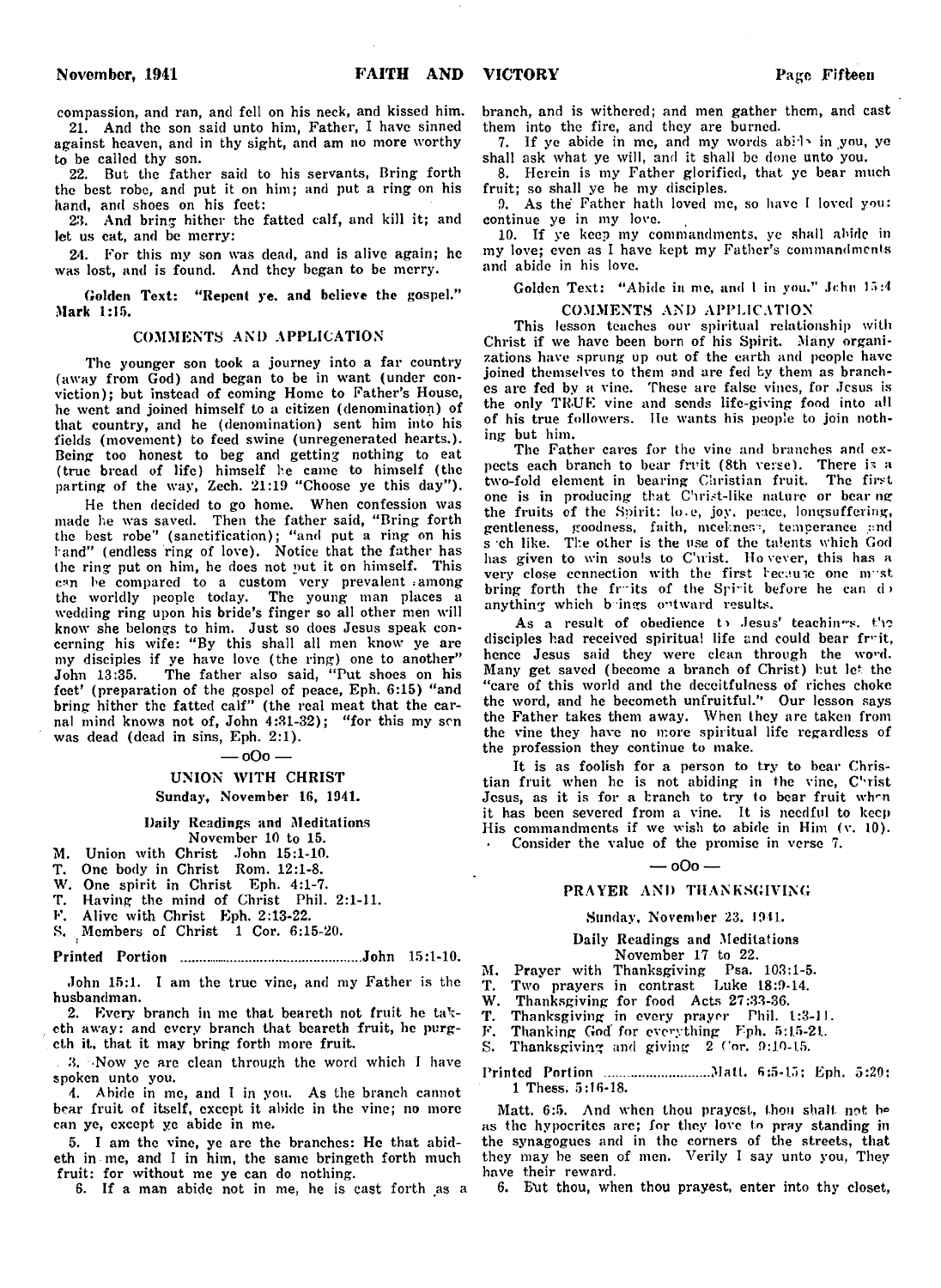compassion, and ran, and fell on his neck, and kissed him. 21. And the son said unto him, Father, I have sinned

against heaven, and in thy sight, and am no more worthy to be called thy son.

22. But the father said to his servants, Bring forth the best robe, and put it on him; and put a ring on his hand, and shoes on his feet:

23. And bring hither the fatted calf, and kill it; and let us cat, and be merry:

24. For this my son was dead, and is alive again; he was lost, and is found. And they began to be merry.

Golden Text: "Repent ye, and believe the gospel." Mark 1:15.

#### COMMENTS AND APPLICATION

The younger son took a journey into a far country (away from God) and began to be in want (under conviction); but instead of coming Home to Father's House, he went and joined himself to a citizen (denomination) of that country, and he (denomination) sent him into his fields (movement) to feed swine (unregenerated hearts.). Being too honest to beg and getting nothing to eat (true bread of life) himself he came to himself (the parting of the way, Zech. 21:19 " Choose ye this day" ).

He then decided to go home. When confession was made he was saved. Then the father said, "Bring forth the best robe" (sanctification); "and put a ring on his l and" (endless ring of love). Notice that the father has the ring put on him, he does not put it on himself. This can be compared to a custom very prevalent among the worldly people today. The young man places a wedding ring upon his bride's finger so all other men will know she belongs to him. Just so does Jesus speak concerning his wife: "By this shall all men know ye are my disciples if ye have love (the ring) one to another" John 13:35. The father also said, " Put shoes on his feet' (preparation of the gospel of peace, Eph. 6:15) " and bring hither the fatted calf" (the real meat that the carnal mind knows not of, John 4:31-32); "for this my sen was dead (dead in sins, Eph. 2:1).

#### — oOo —

### UNION WITH CHRIST

### Sunday, November 16, 1941.

#### Daily Readings and Meditations November 10 to 15.

M. Union with Christ John 15:1-10.

- T. One body in Christ Rom. 12:1-8.
- 
- W. One spirit in Christ Eph. 4:1-7.<br>T. Having the mind of Christ Phil. Having the mind of Christ Phil. 2:1-11.
- Alive with Christ Eph. 2:13-22.
- S. Members of Christ 1 Cor. 6:15-20.

#### Printed Portion ................................................John 15:1-10.

John 15:1. I am the true vine, and my Father is the husbandman.

2. Every branch in me that beareth not fruit he tak- $\overline{T}$ . cth away: and every branch that beareth fruit, he purgcth it, that it may bring forth more fruit.

. 8. Now ye are clean through the word which I have spoken unto you.

4. Abide in me, and I in you. As the branch cannot bear fruit of itself, except it abide in the vine; no more can ye, except ye abide in me.

5. I am the vine, ye are the branches: He that abideth in me, and I in him, the same bringeth forth much fruit: for without me ye can do nothing.

6. If a man abide not in me, he is cast forth as a

branch, and is withered; and men gather them, and cast them into the fire, and they are burned.

7. If ye abide in me, and my words abide in you, ye shall ask what ye will, and it shall be done unto you.

8. Herein is my Father glorified, that ye bear much fruit; so shall ye be my disciples.

9. As the Father hath loved me, so have I loved you: continue ye in my love.

10. If ye keep my commandments, ye shall abide in my love; even as I have kept my Father's commandments and abide in his love.

Golden Text: "Abide in me, and I in you." Jchn 15:4

#### COMMENTS AND APPLICATION

This lesson teaches our spiritual relationship with Christ if we have been born of his Spirit. Many organizations have sprung up out of the earth and people have joined themselves to them and are fed by them as branches are fed by a vine. These are false vines, for Jesus is the only TRUE vine and sends life-giving food into all of his true followers. lie wants his people to join nothing but him.

The Father cares for the vine and branches and expects each branch to bear fruit (8th verse). There is a two-fold element in bearing Christian fruit. The first one is in producing that Christ-like nature or bear ng the fruits of the Spirit: lo.e, joy. peace, longsuffeving, gentleness, goodness, faith, meekness, temperance and s ch like. The other is the use of the talents which God has given to win souls to C'urist. Ho vever, this has a very close connection with the first hecause one must bring forth the fruits of the Spirit before he can d anything which b ings outward results.

As a result of obedience to Jesus' teachines. the disciples had received spiritual life and could bear fruit, hence Jesus said they were clean through the word. Many get saved (become a branch of Christ) but let the "care of this world and the deceitfulness of riches choke the word, and he becometh unfruitful.'' Our lesson says the Father takes them away. When they are taken from the vine they have no more spiritual life regardless of the profession they continue to make.

It is as foolish for a person to try to bear Christian fruit when he is not abiding in the vine, Christ Jesus, as it is for a branch to try to bear fruit when it has been severed from a vine. It is needful to keep His commandments if we wish to abide in Him (v. 10). Consider the value of the promise in verse 7.

#### $000 -$

#### PRAYER AND THANKSGIVING

### Sunday, November 23, 1941.

#### Daily Readings and Meditations November 17 to 22.

M. Prayer with Thanksgiving Psa. 103:1-5.

T. Two prayers in contrast Luke 18:9-14.

W. Thanksgiving for food Acts 27:33-36.

T. Thanksgiving in every prayer Phil. 1:3-11.

F. Thanking God for everything Fph. 5:1.5-21.

S. Thanksgiving and giving  $2 \text{ Cor. } 9:10-15$ .

Printed Portion ........................... Matt. 6:5-15; Eph. 5:20: 1 Thess. 5:16-18.

Matt. 6:5. And when thou prayest, thou shalt. not be as the hypocrites are; for they love to pray standing in the synagogues and in the corners of the streets, that they may be seen of men. Verily I say unto you, They have their reward.

6. Exit thou, when thou prayest, enter into thy closet,